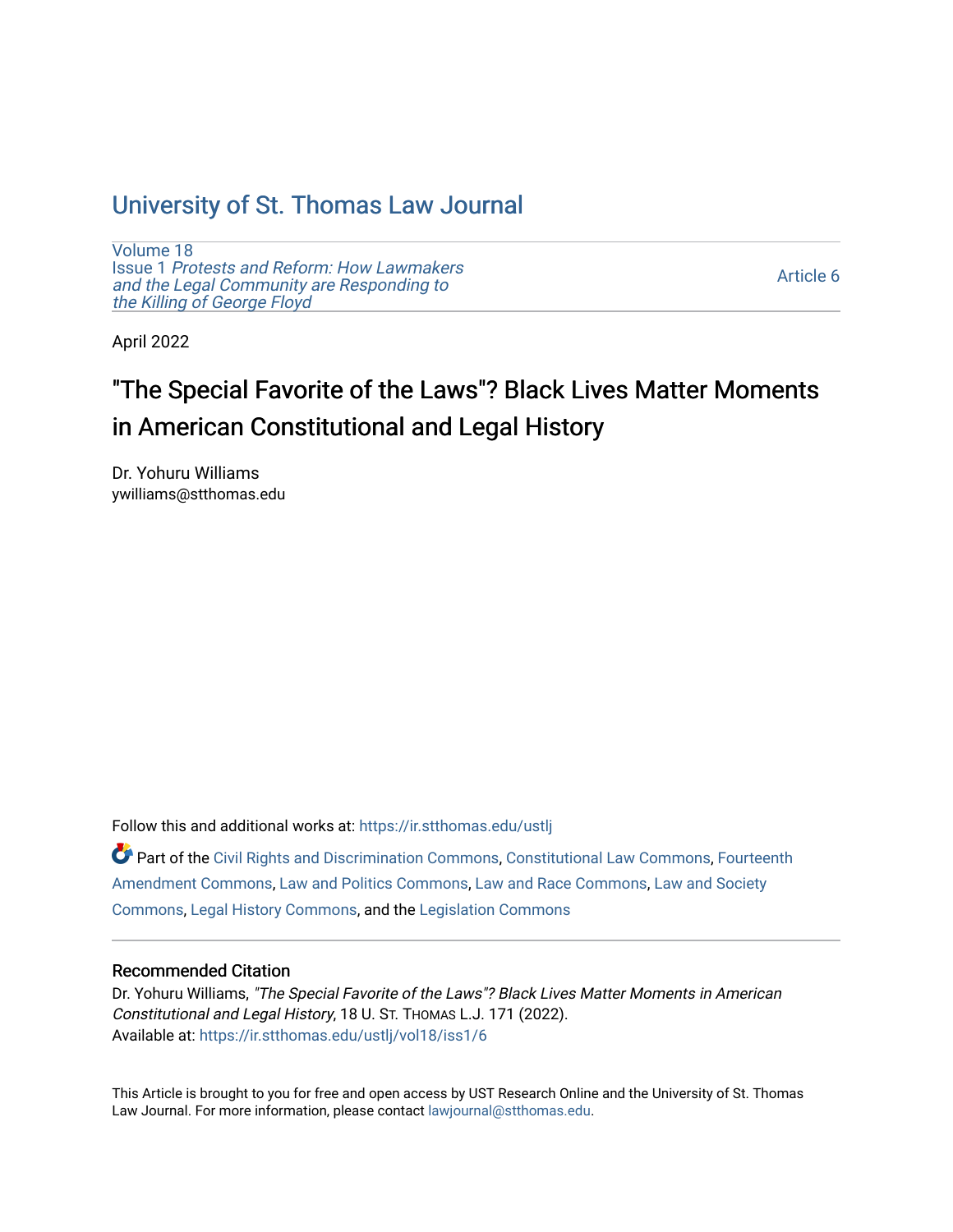### [University of St. Thomas Law Journal](https://ir.stthomas.edu/ustlj)

[Volume 18](https://ir.stthomas.edu/ustlj/vol18) Issue 1 [Protests and Reform: How Lawmakers](https://ir.stthomas.edu/ustlj/vol18/iss1)  [and the Legal Community are Responding to](https://ir.stthomas.edu/ustlj/vol18/iss1) [the Killing of George Floyd](https://ir.stthomas.edu/ustlj/vol18/iss1) 

[Article 6](https://ir.stthomas.edu/ustlj/vol18/iss1/6) 

April 2022

# "The Special Favorite of the Laws"? Black Lives Matter Moments in American Constitutional and Legal History

Dr. Yohuru Williams ywilliams@stthomas.edu

Follow this and additional works at: [https://ir.stthomas.edu/ustlj](https://ir.stthomas.edu/ustlj?utm_source=ir.stthomas.edu%2Fustlj%2Fvol18%2Fiss1%2F6&utm_medium=PDF&utm_campaign=PDFCoverPages)

Part of the [Civil Rights and Discrimination Commons,](http://network.bepress.com/hgg/discipline/585?utm_source=ir.stthomas.edu%2Fustlj%2Fvol18%2Fiss1%2F6&utm_medium=PDF&utm_campaign=PDFCoverPages) [Constitutional Law Commons,](http://network.bepress.com/hgg/discipline/589?utm_source=ir.stthomas.edu%2Fustlj%2Fvol18%2Fiss1%2F6&utm_medium=PDF&utm_campaign=PDFCoverPages) [Fourteenth](http://network.bepress.com/hgg/discipline/1116?utm_source=ir.stthomas.edu%2Fustlj%2Fvol18%2Fiss1%2F6&utm_medium=PDF&utm_campaign=PDFCoverPages)  [Amendment Commons](http://network.bepress.com/hgg/discipline/1116?utm_source=ir.stthomas.edu%2Fustlj%2Fvol18%2Fiss1%2F6&utm_medium=PDF&utm_campaign=PDFCoverPages), [Law and Politics Commons,](http://network.bepress.com/hgg/discipline/867?utm_source=ir.stthomas.edu%2Fustlj%2Fvol18%2Fiss1%2F6&utm_medium=PDF&utm_campaign=PDFCoverPages) [Law and Race Commons](http://network.bepress.com/hgg/discipline/1300?utm_source=ir.stthomas.edu%2Fustlj%2Fvol18%2Fiss1%2F6&utm_medium=PDF&utm_campaign=PDFCoverPages), [Law and Society](http://network.bepress.com/hgg/discipline/853?utm_source=ir.stthomas.edu%2Fustlj%2Fvol18%2Fiss1%2F6&utm_medium=PDF&utm_campaign=PDFCoverPages)  [Commons](http://network.bepress.com/hgg/discipline/853?utm_source=ir.stthomas.edu%2Fustlj%2Fvol18%2Fiss1%2F6&utm_medium=PDF&utm_campaign=PDFCoverPages), [Legal History Commons,](http://network.bepress.com/hgg/discipline/904?utm_source=ir.stthomas.edu%2Fustlj%2Fvol18%2Fiss1%2F6&utm_medium=PDF&utm_campaign=PDFCoverPages) and the [Legislation Commons](http://network.bepress.com/hgg/discipline/859?utm_source=ir.stthomas.edu%2Fustlj%2Fvol18%2Fiss1%2F6&utm_medium=PDF&utm_campaign=PDFCoverPages) 

#### Recommended Citation

Dr. Yohuru Williams, "The Special Favorite of the Laws"? Black Lives Matter Moments in American Constitutional and Legal History, 18 U. ST. THOMAS L.J. 171 (2022). Available at: [https://ir.stthomas.edu/ustlj/vol18/iss1/6](https://ir.stthomas.edu/ustlj/vol18/iss1/6?utm_source=ir.stthomas.edu%2Fustlj%2Fvol18%2Fiss1%2F6&utm_medium=PDF&utm_campaign=PDFCoverPages)

This Article is brought to you for free and open access by UST Research Online and the University of St. Thomas Law Journal. For more information, please contact [lawjournal@stthomas.edu.](mailto:lawjournal@stthomas.edu)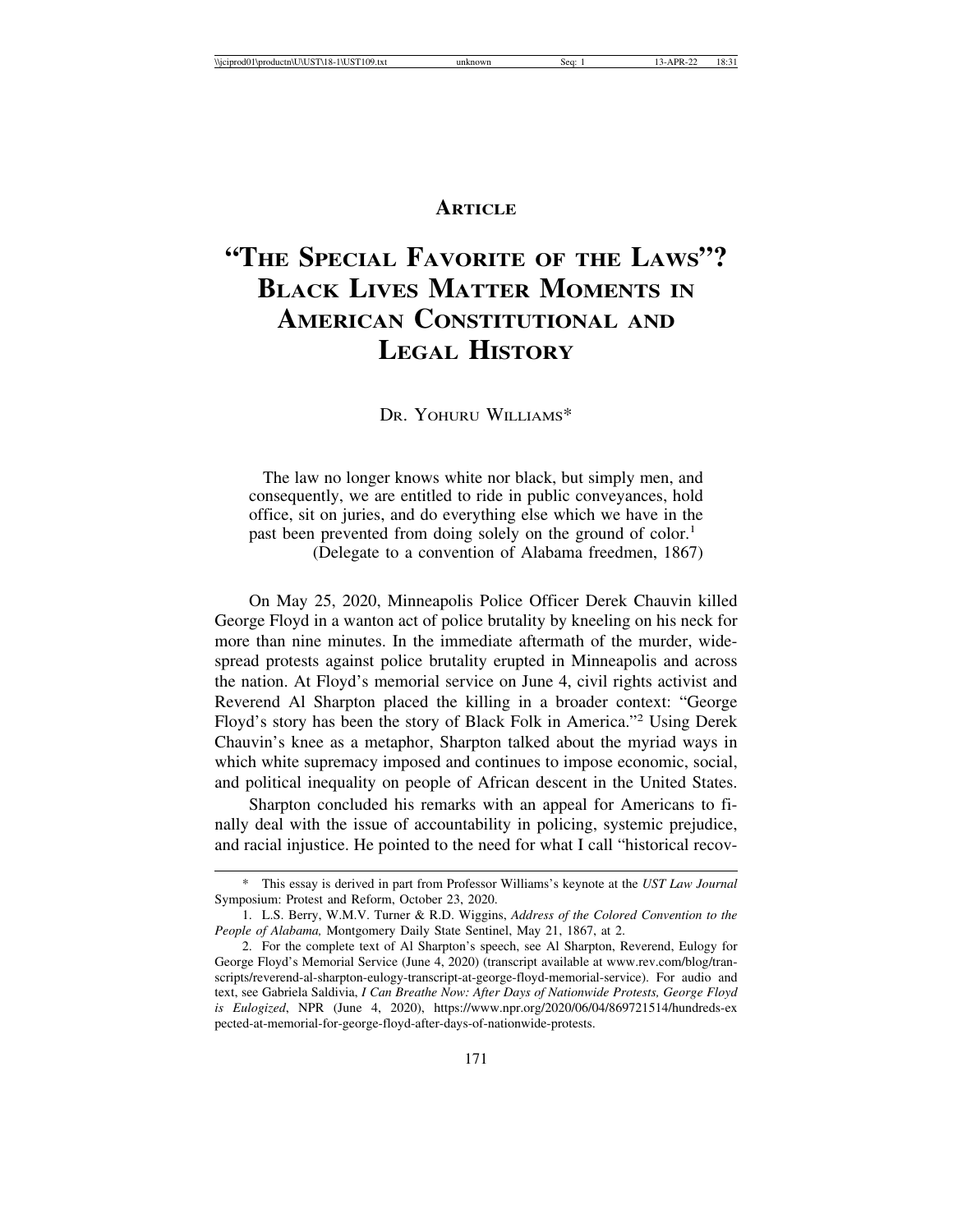#### **ARTICLE**

## **"THE SPECIAL FAVORITE OF THE LAWS"? BLACK LIVES MATTER MOMENTS IN AMERICAN CONSTITUTIONAL AND LEGAL HISTORY**

DR. YOHURU WILLIAMS\*

 The law no longer knows white nor black, but simply men, and consequently, we are entitled to ride in public conveyances, hold office, sit on juries, and do everything else which we have in the past been prevented from doing solely on the ground of color.<sup>1</sup> (Delegate to a convention of Alabama freedmen, 1867)

On May 25, 2020, Minneapolis Police Officer Derek Chauvin killed George Floyd in a wanton act of police brutality by kneeling on his neck for more than nine minutes. In the immediate aftermath of the murder, widespread protests against police brutality erupted in Minneapolis and across the nation. At Floyd's memorial service on June 4, civil rights activist and Reverend Al Sharpton placed the killing in a broader context: "George Floyd's story has been the story of Black Folk in America."<sup>2</sup> Using Derek Chauvin's knee as a metaphor, Sharpton talked about the myriad ways in which white supremacy imposed and continues to impose economic, social, and political inequality on people of African descent in the United States.

Sharpton concluded his remarks with an appeal for Americans to finally deal with the issue of accountability in policing, systemic prejudice, and racial injustice. He pointed to the need for what I call "historical recov-

<sup>\*</sup> This essay is derived in part from Professor Williams's keynote at the *UST Law Journal* Symposium: Protest and Reform, October 23, 2020.

<sup>1.</sup> L.S. Berry, W.M.V. Turner & R.D. Wiggins, *Address of the Colored Convention to the People of Alabama,* Montgomery Daily State Sentinel, May 21, 1867, at 2.

<sup>2.</sup> For the complete text of Al Sharpton's speech, see Al Sharpton, Reverend, Eulogy for George Floyd's Memorial Service (June 4, 2020) (transcript available at www.rev.com/blog/transcripts/reverend-al-sharpton-eulogy-transcript-at-george-floyd-memorial-service). For audio and text, see Gabriela Saldivia, *I Can Breathe Now: After Days of Nationwide Protests, George Floyd is Eulogized*, NPR (June 4, 2020), https://www.npr.org/2020/06/04/869721514/hundreds-ex pected-at-memorial-for-george-floyd-after-days-of-nationwide-protests.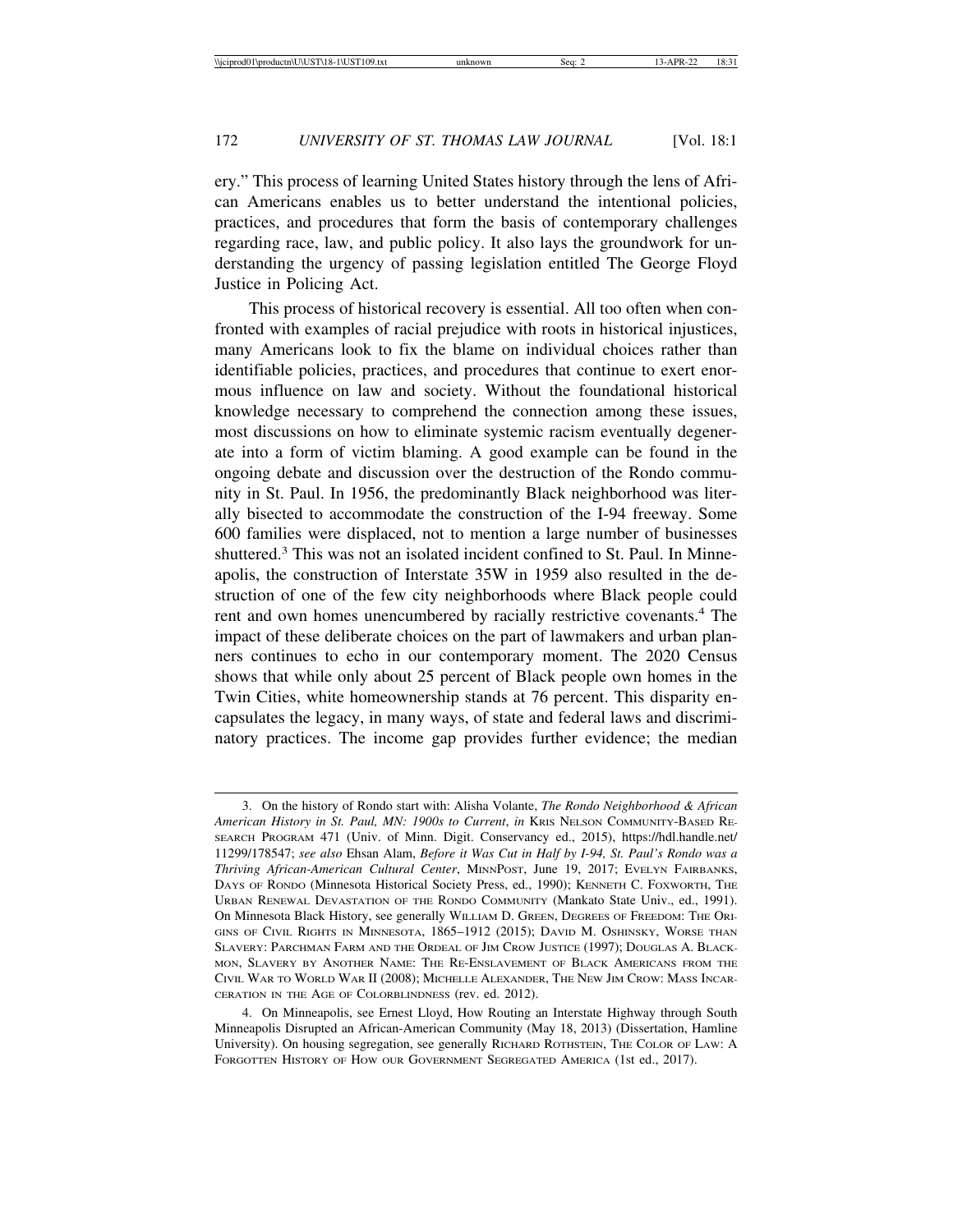ery." This process of learning United States history through the lens of African Americans enables us to better understand the intentional policies, practices, and procedures that form the basis of contemporary challenges regarding race, law, and public policy. It also lays the groundwork for understanding the urgency of passing legislation entitled The George Floyd Justice in Policing Act.

This process of historical recovery is essential. All too often when confronted with examples of racial prejudice with roots in historical injustices, many Americans look to fix the blame on individual choices rather than identifiable policies, practices, and procedures that continue to exert enormous influence on law and society. Without the foundational historical knowledge necessary to comprehend the connection among these issues, most discussions on how to eliminate systemic racism eventually degenerate into a form of victim blaming. A good example can be found in the ongoing debate and discussion over the destruction of the Rondo community in St. Paul. In 1956, the predominantly Black neighborhood was literally bisected to accommodate the construction of the I-94 freeway. Some 600 families were displaced, not to mention a large number of businesses shuttered.<sup>3</sup> This was not an isolated incident confined to St. Paul. In Minneapolis, the construction of Interstate 35W in 1959 also resulted in the destruction of one of the few city neighborhoods where Black people could rent and own homes unencumbered by racially restrictive covenants.<sup>4</sup> The impact of these deliberate choices on the part of lawmakers and urban planners continues to echo in our contemporary moment. The 2020 Census shows that while only about 25 percent of Black people own homes in the Twin Cities, white homeownership stands at 76 percent. This disparity encapsulates the legacy, in many ways, of state and federal laws and discriminatory practices. The income gap provides further evidence; the median

<sup>3.</sup> On the history of Rondo start with: Alisha Volante, *The Rondo Neighborhood & African American History in St. Paul, MN: 1900s to Current*, *in* KRIS NELSON COMMUNITY-BASED RE-SEARCH PROGRAM 471 (Univ. of Minn. Digit. Conservancy ed., 2015), https://hdl.handle.net/ 11299/178547; *see also* Ehsan Alam, *Before it Was Cut in Half by I-94, St. Paul's Rondo was a Thriving African-American Cultural Center*, MINNPOST, June 19, 2017; EVELYN FAIRBANKS, DAYS OF RONDO (Minnesota Historical Society Press, ed., 1990); KENNETH C. FOXWORTH, THE URBAN RENEWAL DEVASTATION OF THE RONDO COMMUNITY (Mankato State Univ., ed., 1991). On Minnesota Black History, see generally WILLIAM D. GREEN, DEGREES OF FREEDOM: THE ORI-GINS OF CIVIL RIGHTS IN MINNESOTA, 1865–1912 (2015); DAVID M. OSHINSKY, WORSE THAN SLAVERY: PARCHMAN FARM AND THE ORDEAL OF JIM CROW JUSTICE (1997); DOUGLAS A. BLACK-MON, SLAVERY BY ANOTHER NAME: THE RE-ENSLAVEMENT OF BLACK AMERICANS FROM THE CIVIL WAR TO WORLD WAR II (2008); MICHELLE ALEXANDER, THE NEW JIM CROW: MASS INCAR-CERATION IN THE AGE OF COLORBLINDNESS (rev. ed. 2012).

<sup>4.</sup> On Minneapolis, see Ernest Lloyd, How Routing an Interstate Highway through South Minneapolis Disrupted an African-American Community (May 18, 2013) (Dissertation, Hamline University). On housing segregation, see generally RICHARD ROTHSTEIN, THE COLOR OF LAW: A FORGOTTEN HISTORY OF HOW OUR GOVERNMENT SEGREGATED AMERICA (1st ed., 2017).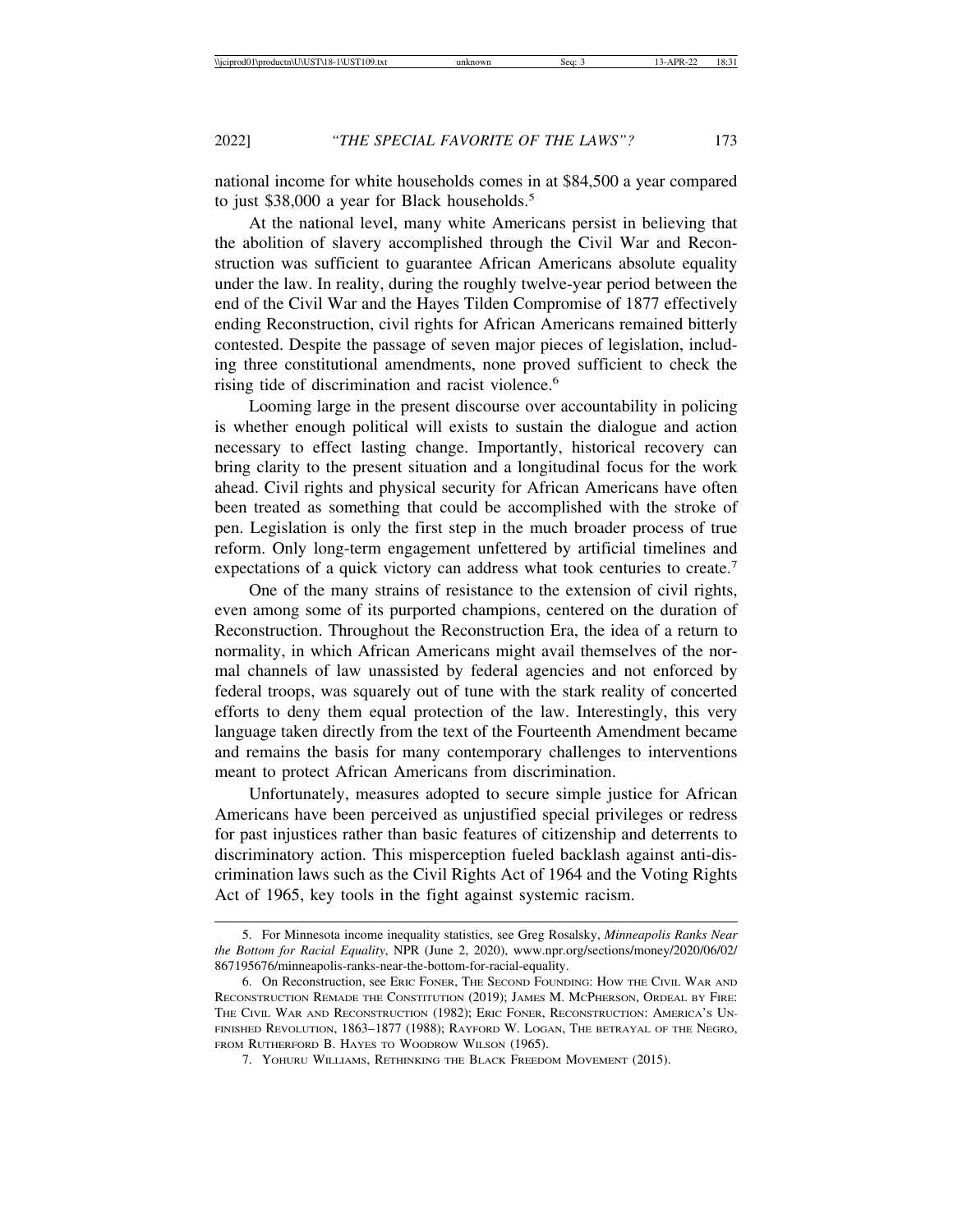national income for white households comes in at \$84,500 a year compared to just \$38,000 a year for Black households.<sup>5</sup>

At the national level, many white Americans persist in believing that the abolition of slavery accomplished through the Civil War and Reconstruction was sufficient to guarantee African Americans absolute equality under the law. In reality, during the roughly twelve-year period between the end of the Civil War and the Hayes Tilden Compromise of 1877 effectively ending Reconstruction, civil rights for African Americans remained bitterly contested. Despite the passage of seven major pieces of legislation, including three constitutional amendments, none proved sufficient to check the rising tide of discrimination and racist violence.<sup>6</sup>

Looming large in the present discourse over accountability in policing is whether enough political will exists to sustain the dialogue and action necessary to effect lasting change. Importantly, historical recovery can bring clarity to the present situation and a longitudinal focus for the work ahead. Civil rights and physical security for African Americans have often been treated as something that could be accomplished with the stroke of pen. Legislation is only the first step in the much broader process of true reform. Only long-term engagement unfettered by artificial timelines and expectations of a quick victory can address what took centuries to create.<sup>7</sup>

One of the many strains of resistance to the extension of civil rights, even among some of its purported champions, centered on the duration of Reconstruction. Throughout the Reconstruction Era, the idea of a return to normality, in which African Americans might avail themselves of the normal channels of law unassisted by federal agencies and not enforced by federal troops, was squarely out of tune with the stark reality of concerted efforts to deny them equal protection of the law. Interestingly, this very language taken directly from the text of the Fourteenth Amendment became and remains the basis for many contemporary challenges to interventions meant to protect African Americans from discrimination.

Unfortunately, measures adopted to secure simple justice for African Americans have been perceived as unjustified special privileges or redress for past injustices rather than basic features of citizenship and deterrents to discriminatory action. This misperception fueled backlash against anti-discrimination laws such as the Civil Rights Act of 1964 and the Voting Rights Act of 1965, key tools in the fight against systemic racism.

<sup>5.</sup> For Minnesota income inequality statistics, see Greg Rosalsky, *Minneapolis Ranks Near the Bottom for Racial Equality*, NPR (June 2, 2020), www.npr.org/sections/money/2020/06/02/ 867195676/minneapolis-ranks-near-the-bottom-for-racial-equality.

<sup>6.</sup> On Reconstruction, see ERIC FONER, THE SECOND FOUNDING: HOW THE CIVIL WAR AND RECONSTRUCTION REMADE THE CONSTITUTION (2019); JAMES M. MCPHERSON, ORDEAL BY FIRE: THE CIVIL WAR AND RECONSTRUCTION (1982); ERIC FONER, RECONSTRUCTION: AMERICA'S UN-FINISHED REVOLUTION, 1863–1877 (1988); RAYFORD W. LOGAN, THE BETRAYAL OF THE NEGRO, FROM RUTHERFORD B. HAYES TO WOODROW WILSON (1965).

<sup>7.</sup> YOHURU WILLIAMS, RETHINKING THE BLACK FREEDOM MOVEMENT (2015).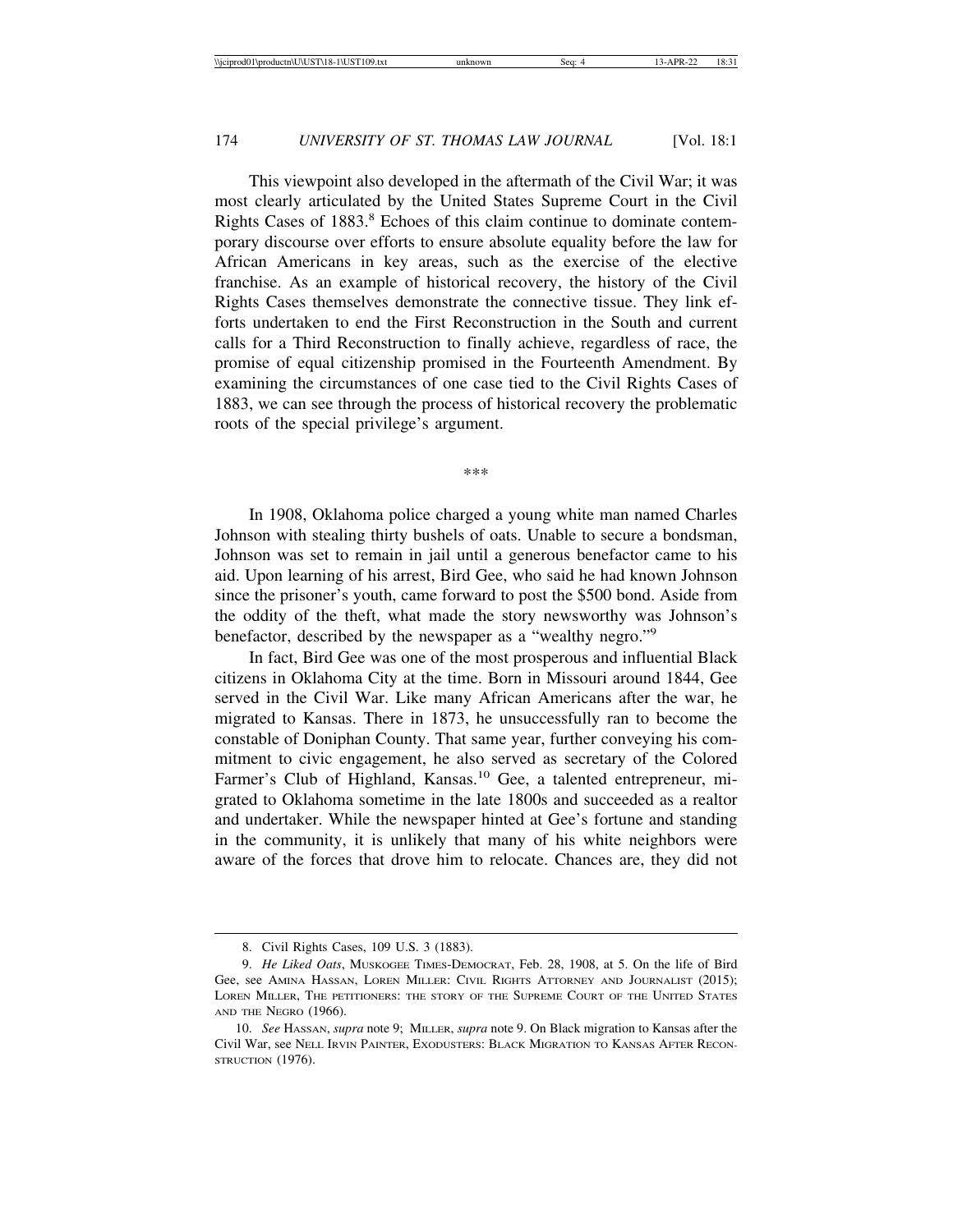This viewpoint also developed in the aftermath of the Civil War; it was most clearly articulated by the United States Supreme Court in the Civil Rights Cases of 1883.<sup>8</sup> Echoes of this claim continue to dominate contemporary discourse over efforts to ensure absolute equality before the law for African Americans in key areas, such as the exercise of the elective franchise. As an example of historical recovery, the history of the Civil Rights Cases themselves demonstrate the connective tissue. They link efforts undertaken to end the First Reconstruction in the South and current calls for a Third Reconstruction to finally achieve, regardless of race, the promise of equal citizenship promised in the Fourteenth Amendment. By examining the circumstances of one case tied to the Civil Rights Cases of 1883, we can see through the process of historical recovery the problematic roots of the special privilege's argument.

\*\*\*

In 1908, Oklahoma police charged a young white man named Charles Johnson with stealing thirty bushels of oats. Unable to secure a bondsman, Johnson was set to remain in jail until a generous benefactor came to his aid. Upon learning of his arrest, Bird Gee, who said he had known Johnson since the prisoner's youth, came forward to post the \$500 bond. Aside from the oddity of the theft, what made the story newsworthy was Johnson's benefactor, described by the newspaper as a "wealthy negro."<sup>9</sup>

In fact, Bird Gee was one of the most prosperous and influential Black citizens in Oklahoma City at the time. Born in Missouri around 1844, Gee served in the Civil War. Like many African Americans after the war, he migrated to Kansas. There in 1873, he unsuccessfully ran to become the constable of Doniphan County. That same year, further conveying his commitment to civic engagement, he also served as secretary of the Colored Farmer's Club of Highland, Kansas.<sup>10</sup> Gee, a talented entrepreneur, migrated to Oklahoma sometime in the late 1800s and succeeded as a realtor and undertaker. While the newspaper hinted at Gee's fortune and standing in the community, it is unlikely that many of his white neighbors were aware of the forces that drove him to relocate. Chances are, they did not

<sup>8.</sup> Civil Rights Cases, 109 U.S. 3 (1883).

<sup>9.</sup> *He Liked Oats*, MUSKOGEE TIMES-DEMOCRAT, Feb. 28, 1908, at 5. On the life of Bird Gee, see AMINA HASSAN, LOREN MILLER: CIVIL RIGHTS ATTORNEY AND JOURNALIST (2015); LOREN MILLER, THE PETITIONERS: THE STORY OF THE SUPREME COURT OF THE UNITED STATES AND THE NEGRO (1966).

<sup>10.</sup> *See* HASSAN, *supra* note 9; MILLER, *supra* note 9. On Black migration to Kansas after the Civil War, see NELL IRVIN PAINTER, EXODUSTERS: BLACK MIGRATION TO KANSAS AFTER RECON-STRUCTION (1976).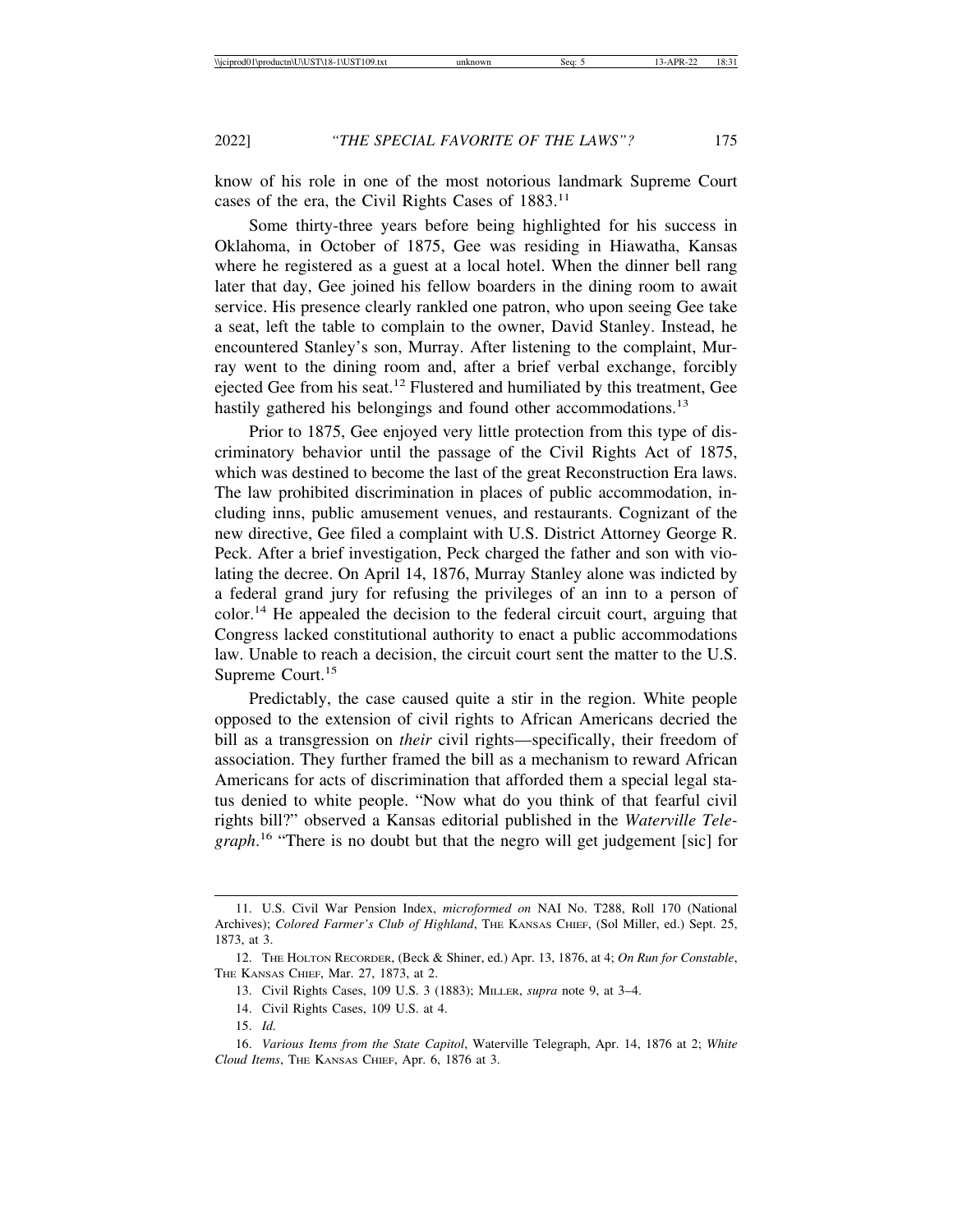know of his role in one of the most notorious landmark Supreme Court cases of the era, the Civil Rights Cases of 1883.<sup>11</sup>

Some thirty-three years before being highlighted for his success in Oklahoma, in October of 1875, Gee was residing in Hiawatha, Kansas where he registered as a guest at a local hotel. When the dinner bell rang later that day, Gee joined his fellow boarders in the dining room to await service. His presence clearly rankled one patron, who upon seeing Gee take a seat, left the table to complain to the owner, David Stanley. Instead, he encountered Stanley's son, Murray. After listening to the complaint, Murray went to the dining room and, after a brief verbal exchange, forcibly ejected Gee from his seat.<sup>12</sup> Flustered and humiliated by this treatment, Gee hastily gathered his belongings and found other accommodations.<sup>13</sup>

Prior to 1875, Gee enjoyed very little protection from this type of discriminatory behavior until the passage of the Civil Rights Act of 1875, which was destined to become the last of the great Reconstruction Era laws. The law prohibited discrimination in places of public accommodation, including inns, public amusement venues, and restaurants. Cognizant of the new directive, Gee filed a complaint with U.S. District Attorney George R. Peck. After a brief investigation, Peck charged the father and son with violating the decree. On April 14, 1876, Murray Stanley alone was indicted by a federal grand jury for refusing the privileges of an inn to a person of color.14 He appealed the decision to the federal circuit court, arguing that Congress lacked constitutional authority to enact a public accommodations law. Unable to reach a decision, the circuit court sent the matter to the U.S. Supreme Court.<sup>15</sup>

Predictably, the case caused quite a stir in the region. White people opposed to the extension of civil rights to African Americans decried the bill as a transgression on *their* civil rights—specifically, their freedom of association. They further framed the bill as a mechanism to reward African Americans for acts of discrimination that afforded them a special legal status denied to white people. "Now what do you think of that fearful civil rights bill?" observed a Kansas editorial published in the *Waterville Telegraph*. 16 "There is no doubt but that the negro will get judgement [sic] for

<sup>11.</sup> U.S. Civil War Pension Index, *microformed on* NAI No. T288, Roll 170 (National Archives); *Colored Farmer's Club of Highland*, THE KANSAS CHIEF, (Sol Miller, ed.) Sept. 25, 1873, at 3.

<sup>12.</sup> THE HOLTON RECORDER, (Beck & Shiner, ed.) Apr. 13, 1876, at 4; *On Run for Constable*, THE KANSAS CHIEF, Mar. 27, 1873, at 2.

<sup>13.</sup> Civil Rights Cases, 109 U.S. 3 (1883); MILLER, *supra* note 9, at 3–4.

<sup>14.</sup> Civil Rights Cases, 109 U.S. at 4.

<sup>15.</sup> *Id.*

<sup>16.</sup> *Various Items from the State Capitol*, Waterville Telegraph, Apr. 14, 1876 at 2; *White Cloud Items*, THE KANSAS CHIEF, Apr. 6, 1876 at 3.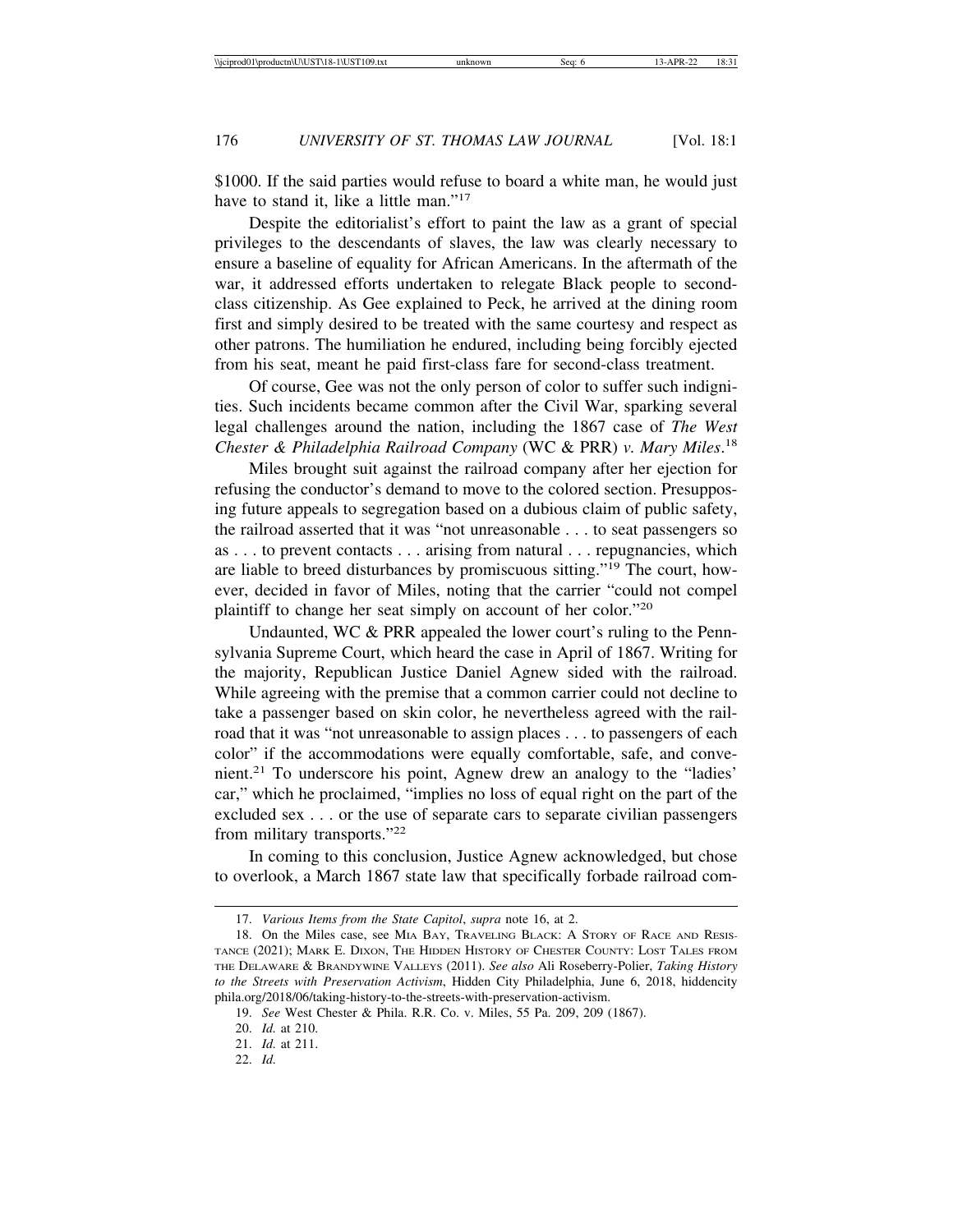\$1000. If the said parties would refuse to board a white man, he would just have to stand it. like a little man."<sup>17</sup>

Despite the editorialist's effort to paint the law as a grant of special privileges to the descendants of slaves, the law was clearly necessary to ensure a baseline of equality for African Americans. In the aftermath of the war, it addressed efforts undertaken to relegate Black people to secondclass citizenship. As Gee explained to Peck, he arrived at the dining room first and simply desired to be treated with the same courtesy and respect as other patrons. The humiliation he endured, including being forcibly ejected from his seat, meant he paid first-class fare for second-class treatment.

Of course, Gee was not the only person of color to suffer such indignities. Such incidents became common after the Civil War, sparking several legal challenges around the nation, including the 1867 case of *The West Chester & Philadelphia Railroad Company* (WC & PRR) *v. Mary Miles*. 18

Miles brought suit against the railroad company after her ejection for refusing the conductor's demand to move to the colored section. Presupposing future appeals to segregation based on a dubious claim of public safety, the railroad asserted that it was "not unreasonable . . . to seat passengers so as . . . to prevent contacts . . . arising from natural . . . repugnancies, which are liable to breed disturbances by promiscuous sitting."19 The court, however, decided in favor of Miles, noting that the carrier "could not compel plaintiff to change her seat simply on account of her color."<sup>20</sup>

Undaunted, WC & PRR appealed the lower court's ruling to the Pennsylvania Supreme Court, which heard the case in April of 1867. Writing for the majority, Republican Justice Daniel Agnew sided with the railroad. While agreeing with the premise that a common carrier could not decline to take a passenger based on skin color, he nevertheless agreed with the railroad that it was "not unreasonable to assign places . . . to passengers of each color" if the accommodations were equally comfortable, safe, and convenient.21 To underscore his point, Agnew drew an analogy to the "ladies' car," which he proclaimed, "implies no loss of equal right on the part of the excluded sex . . . or the use of separate cars to separate civilian passengers from military transports."<sup>22</sup>

In coming to this conclusion, Justice Agnew acknowledged, but chose to overlook, a March 1867 state law that specifically forbade railroad com-

<sup>17.</sup> *Various Items from the State Capitol*, *supra* note 16, at 2.

<sup>18.</sup> On the Miles case, see MIA BAY, TRAVELING BLACK: A STORY OF RACE AND RESIS-TANCE (2021); MARK E. DIXON, THE HIDDEN HISTORY OF CHESTER COUNTY: LOST TALES FROM THE DELAWARE & BRANDYWINE VALLEYS (2011). *See also* Ali Roseberry-Polier, *Taking History to the Streets with Preservation Activism*, Hidden City Philadelphia, June 6, 2018, hiddencity phila.org/2018/06/taking-history-to-the-streets-with-preservation-activism.

<sup>19.</sup> *See* West Chester & Phila. R.R. Co. v. Miles, 55 Pa. 209, 209 (1867).

<sup>20.</sup> *Id.* at 210.

<sup>21.</sup> *Id.* at 211.

<sup>22.</sup> *Id.*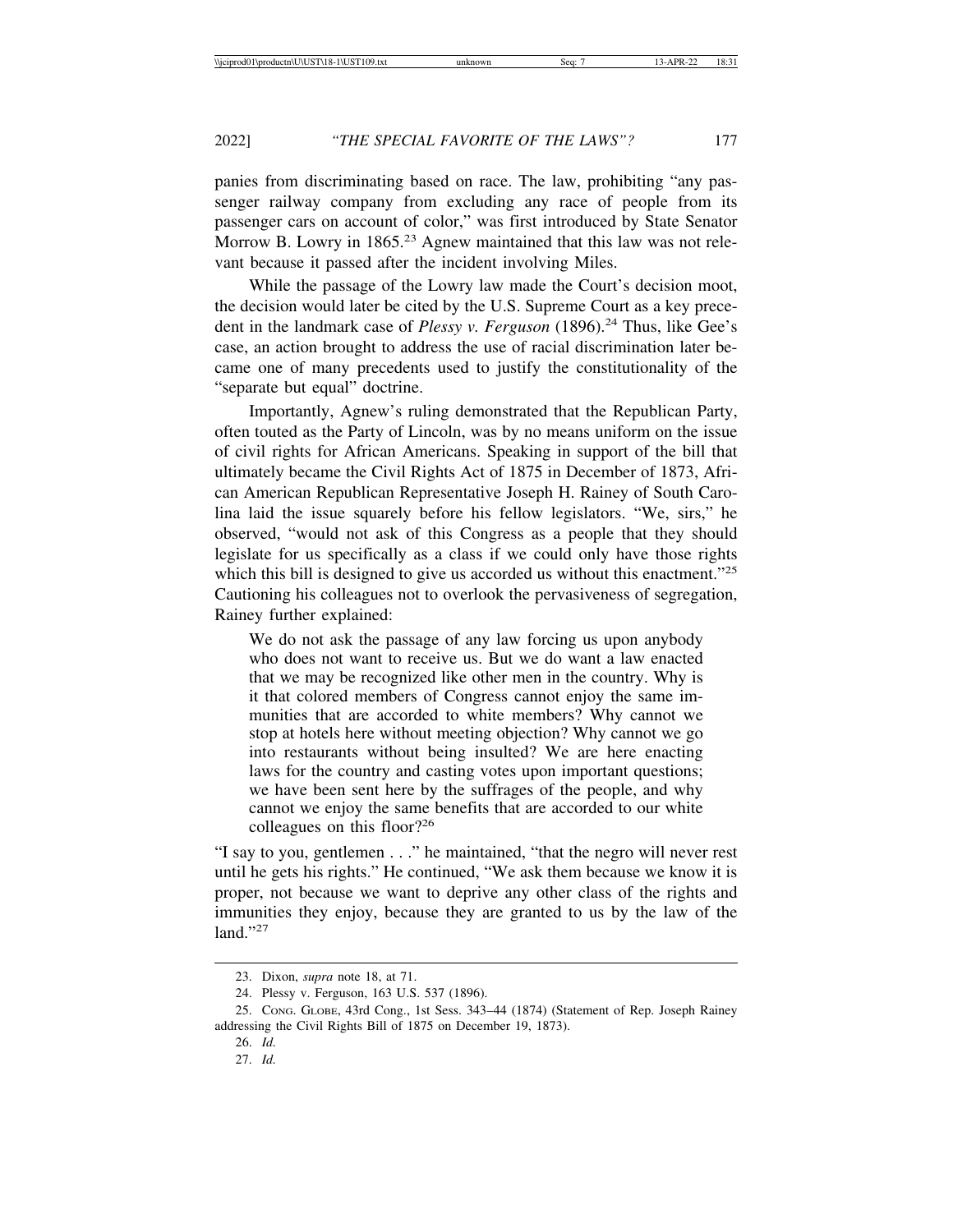panies from discriminating based on race. The law, prohibiting "any passenger railway company from excluding any race of people from its passenger cars on account of color," was first introduced by State Senator Morrow B. Lowry in 1865.<sup>23</sup> Agnew maintained that this law was not relevant because it passed after the incident involving Miles.

While the passage of the Lowry law made the Court's decision moot, the decision would later be cited by the U.S. Supreme Court as a key precedent in the landmark case of *Plessy v. Ferguson* (1896).<sup>24</sup> Thus, like Gee's case, an action brought to address the use of racial discrimination later became one of many precedents used to justify the constitutionality of the "separate but equal" doctrine.

Importantly, Agnew's ruling demonstrated that the Republican Party, often touted as the Party of Lincoln, was by no means uniform on the issue of civil rights for African Americans. Speaking in support of the bill that ultimately became the Civil Rights Act of 1875 in December of 1873, African American Republican Representative Joseph H. Rainey of South Carolina laid the issue squarely before his fellow legislators. "We, sirs," he observed, "would not ask of this Congress as a people that they should legislate for us specifically as a class if we could only have those rights which this bill is designed to give us accorded us without this enactment."<sup>25</sup> Cautioning his colleagues not to overlook the pervasiveness of segregation, Rainey further explained:

We do not ask the passage of any law forcing us upon anybody who does not want to receive us. But we do want a law enacted that we may be recognized like other men in the country. Why is it that colored members of Congress cannot enjoy the same immunities that are accorded to white members? Why cannot we stop at hotels here without meeting objection? Why cannot we go into restaurants without being insulted? We are here enacting laws for the country and casting votes upon important questions; we have been sent here by the suffrages of the people, and why cannot we enjoy the same benefits that are accorded to our white colleagues on this floor?<sup>26</sup>

"I say to you, gentlemen . . ." he maintained, "that the negro will never rest until he gets his rights." He continued, "We ask them because we know it is proper, not because we want to deprive any other class of the rights and immunities they enjoy, because they are granted to us by the law of the land $"27$ 

<sup>23.</sup> Dixon, *supra* note 18, at 71.

<sup>24.</sup> Plessy v. Ferguson, 163 U.S. 537 (1896).

<sup>25.</sup> CONG. GLOBE, 43rd Cong., 1st Sess. 343–44 (1874) (Statement of Rep. Joseph Rainey addressing the Civil Rights Bill of 1875 on December 19, 1873).

<sup>26.</sup> *Id.*

<sup>27.</sup> *Id.*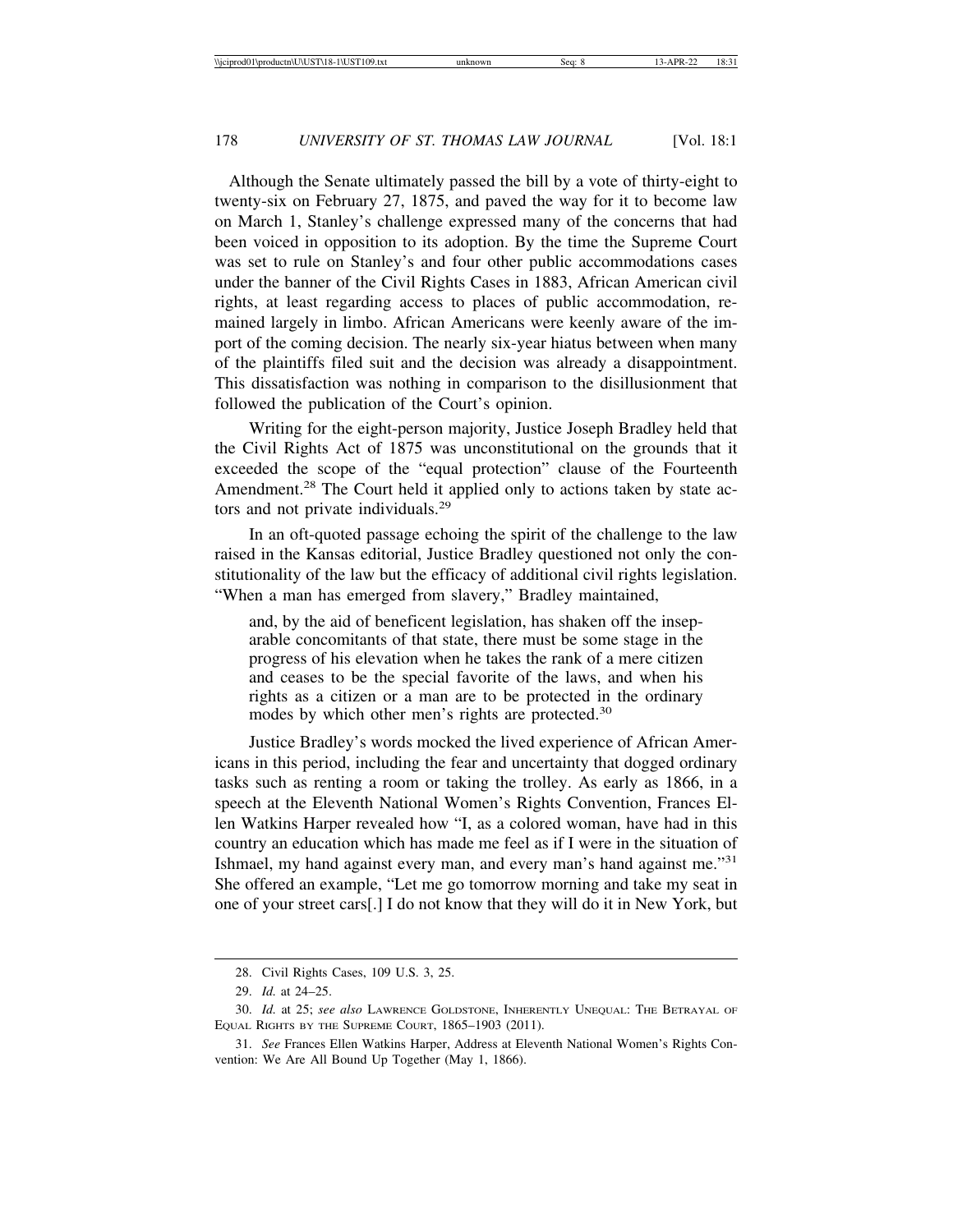Although the Senate ultimately passed the bill by a vote of thirty-eight to twenty-six on February 27, 1875, and paved the way for it to become law on March 1, Stanley's challenge expressed many of the concerns that had been voiced in opposition to its adoption. By the time the Supreme Court was set to rule on Stanley's and four other public accommodations cases under the banner of the Civil Rights Cases in 1883, African American civil rights, at least regarding access to places of public accommodation, remained largely in limbo. African Americans were keenly aware of the import of the coming decision. The nearly six-year hiatus between when many of the plaintiffs filed suit and the decision was already a disappointment. This dissatisfaction was nothing in comparison to the disillusionment that followed the publication of the Court's opinion.

Writing for the eight-person majority, Justice Joseph Bradley held that the Civil Rights Act of 1875 was unconstitutional on the grounds that it exceeded the scope of the "equal protection" clause of the Fourteenth Amendment.<sup>28</sup> The Court held it applied only to actions taken by state actors and not private individuals.<sup>29</sup>

In an oft-quoted passage echoing the spirit of the challenge to the law raised in the Kansas editorial, Justice Bradley questioned not only the constitutionality of the law but the efficacy of additional civil rights legislation. "When a man has emerged from slavery," Bradley maintained,

and, by the aid of beneficent legislation, has shaken off the inseparable concomitants of that state, there must be some stage in the progress of his elevation when he takes the rank of a mere citizen and ceases to be the special favorite of the laws, and when his rights as a citizen or a man are to be protected in the ordinary modes by which other men's rights are protected.<sup>30</sup>

Justice Bradley's words mocked the lived experience of African Americans in this period, including the fear and uncertainty that dogged ordinary tasks such as renting a room or taking the trolley. As early as 1866, in a speech at the Eleventh National Women's Rights Convention, Frances Ellen Watkins Harper revealed how "I, as a colored woman, have had in this country an education which has made me feel as if I were in the situation of Ishmael, my hand against every man, and every man's hand against me."<sup>31</sup> She offered an example, "Let me go tomorrow morning and take my seat in one of your street cars[.] I do not know that they will do it in New York, but

<sup>28.</sup> Civil Rights Cases, 109 U.S. 3, 25.

<sup>29.</sup> *Id.* at 24–25.

<sup>30.</sup> *Id.* at 25; *see also* LAWRENCE GOLDSTONE, INHERENTLY UNEQUAL: THE BETRAYAL OF EQUAL RIGHTS BY THE SUPREME COURT, 1865–1903 (2011).

<sup>31.</sup> *See* Frances Ellen Watkins Harper, Address at Eleventh National Women's Rights Convention: We Are All Bound Up Together (May 1, 1866).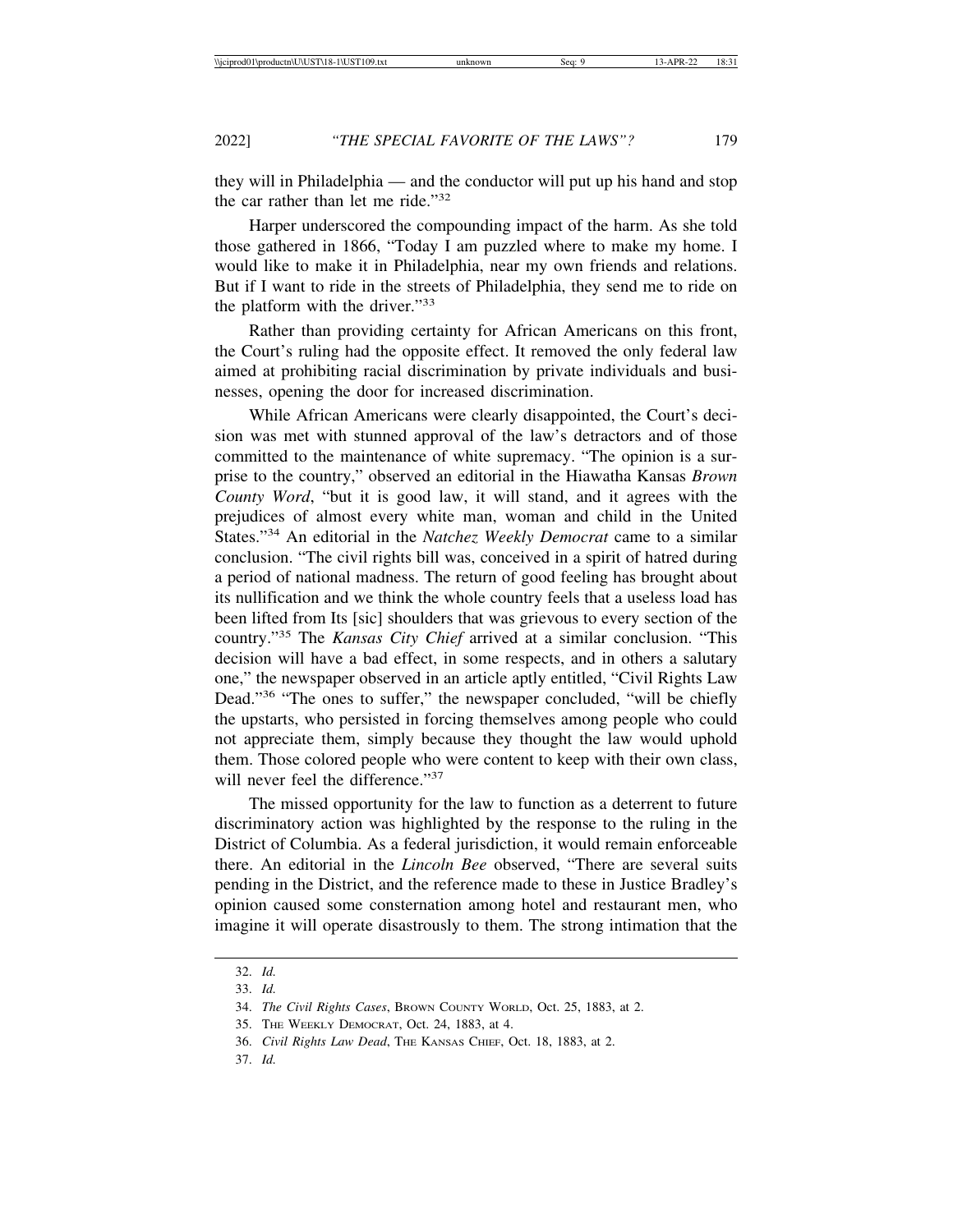they will in Philadelphia — and the conductor will put up his hand and stop the car rather than let me ride."<sup>32</sup>

Harper underscored the compounding impact of the harm. As she told those gathered in 1866, "Today I am puzzled where to make my home. I would like to make it in Philadelphia, near my own friends and relations. But if I want to ride in the streets of Philadelphia, they send me to ride on the platform with the driver."<sup>33</sup>

Rather than providing certainty for African Americans on this front, the Court's ruling had the opposite effect. It removed the only federal law aimed at prohibiting racial discrimination by private individuals and businesses, opening the door for increased discrimination.

While African Americans were clearly disappointed, the Court's decision was met with stunned approval of the law's detractors and of those committed to the maintenance of white supremacy. "The opinion is a surprise to the country," observed an editorial in the Hiawatha Kansas *Brown County Word*, "but it is good law, it will stand, and it agrees with the prejudices of almost every white man, woman and child in the United States."34 An editorial in the *Natchez Weekly Democrat* came to a similar conclusion. "The civil rights bill was, conceived in a spirit of hatred during a period of national madness. The return of good feeling has brought about its nullification and we think the whole country feels that a useless load has been lifted from Its [sic] shoulders that was grievous to every section of the country."35 The *Kansas City Chief* arrived at a similar conclusion. "This decision will have a bad effect, in some respects, and in others a salutary one," the newspaper observed in an article aptly entitled, "Civil Rights Law Dead."36 "The ones to suffer," the newspaper concluded, "will be chiefly the upstarts, who persisted in forcing themselves among people who could not appreciate them, simply because they thought the law would uphold them. Those colored people who were content to keep with their own class, will never feel the difference."<sup>37</sup>

The missed opportunity for the law to function as a deterrent to future discriminatory action was highlighted by the response to the ruling in the District of Columbia. As a federal jurisdiction, it would remain enforceable there. An editorial in the *Lincoln Bee* observed, "There are several suits pending in the District, and the reference made to these in Justice Bradley's opinion caused some consternation among hotel and restaurant men, who imagine it will operate disastrously to them. The strong intimation that the

<sup>32.</sup> *Id.*

<sup>33.</sup> *Id.*

<sup>34.</sup> *The Civil Rights Cases*, BROWN COUNTY WORLD, Oct. 25, 1883, at 2.

<sup>35.</sup> THE WEEKLY DEMOCRAT, Oct. 24, 1883, at 4.

<sup>36.</sup> *Civil Rights Law Dead*, THE KANSAS CHIEF, Oct. 18, 1883, at 2.

<sup>37.</sup> *Id.*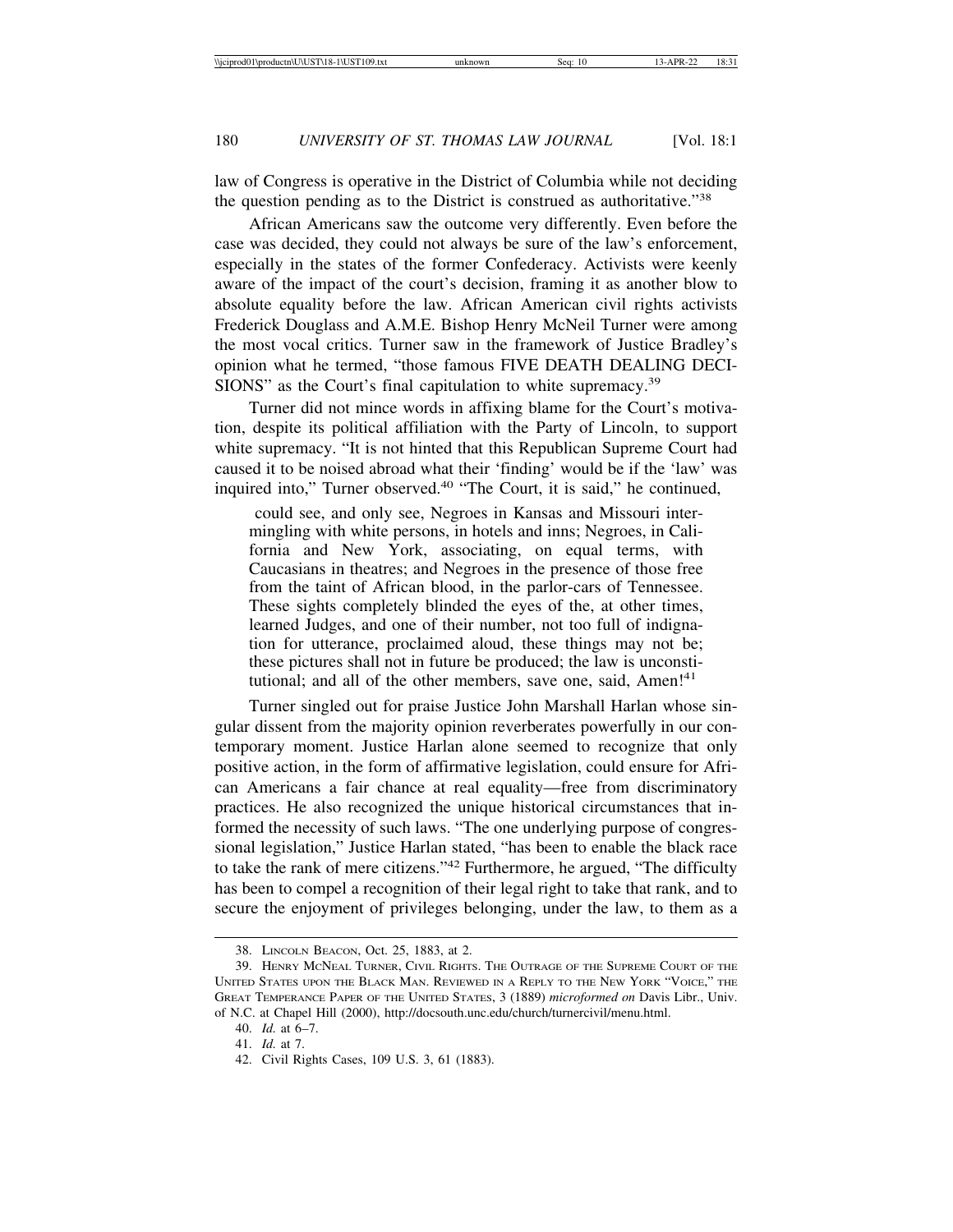law of Congress is operative in the District of Columbia while not deciding the question pending as to the District is construed as authoritative."<sup>38</sup>

African Americans saw the outcome very differently. Even before the case was decided, they could not always be sure of the law's enforcement, especially in the states of the former Confederacy. Activists were keenly aware of the impact of the court's decision, framing it as another blow to absolute equality before the law. African American civil rights activists Frederick Douglass and A.M.E. Bishop Henry McNeil Turner were among the most vocal critics. Turner saw in the framework of Justice Bradley's opinion what he termed, "those famous FIVE DEATH DEALING DECI-SIONS" as the Court's final capitulation to white supremacy.<sup>39</sup>

Turner did not mince words in affixing blame for the Court's motivation, despite its political affiliation with the Party of Lincoln, to support white supremacy. "It is not hinted that this Republican Supreme Court had caused it to be noised abroad what their 'finding' would be if the 'law' was inquired into," Turner observed.<sup>40</sup> "The Court, it is said," he continued,

 could see, and only see, Negroes in Kansas and Missouri intermingling with white persons, in hotels and inns; Negroes, in California and New York, associating, on equal terms, with Caucasians in theatres; and Negroes in the presence of those free from the taint of African blood, in the parlor-cars of Tennessee. These sights completely blinded the eyes of the, at other times, learned Judges, and one of their number, not too full of indignation for utterance, proclaimed aloud, these things may not be; these pictures shall not in future be produced; the law is unconstitutional; and all of the other members, save one, said, Amen!<sup>41</sup>

Turner singled out for praise Justice John Marshall Harlan whose singular dissent from the majority opinion reverberates powerfully in our contemporary moment. Justice Harlan alone seemed to recognize that only positive action, in the form of affirmative legislation, could ensure for African Americans a fair chance at real equality—free from discriminatory practices. He also recognized the unique historical circumstances that informed the necessity of such laws. "The one underlying purpose of congressional legislation," Justice Harlan stated, "has been to enable the black race to take the rank of mere citizens."42 Furthermore, he argued, "The difficulty has been to compel a recognition of their legal right to take that rank, and to secure the enjoyment of privileges belonging, under the law, to them as a

<sup>38.</sup> LINCOLN BEACON, Oct. 25, 1883, at 2.

<sup>39.</sup> HENRY MCNEAL TURNER, CIVIL RIGHTS. THE OUTRAGE OF THE SUPREME COURT OF THE UNITED STATES UPON THE BLACK MAN. REVIEWED IN A REPLY TO THE NEW YORK "VOICE," THE GREAT TEMPERANCE PAPER OF THE UNITED STATES, 3 (1889) *microformed on* Davis Libr., Univ. of N.C. at Chapel Hill (2000), http://docsouth.unc.edu/church/turnercivil/menu.html.

<sup>40.</sup> *Id.* at 6–7.

<sup>41.</sup> *Id.* at 7.

<sup>42.</sup> Civil Rights Cases, 109 U.S. 3, 61 (1883).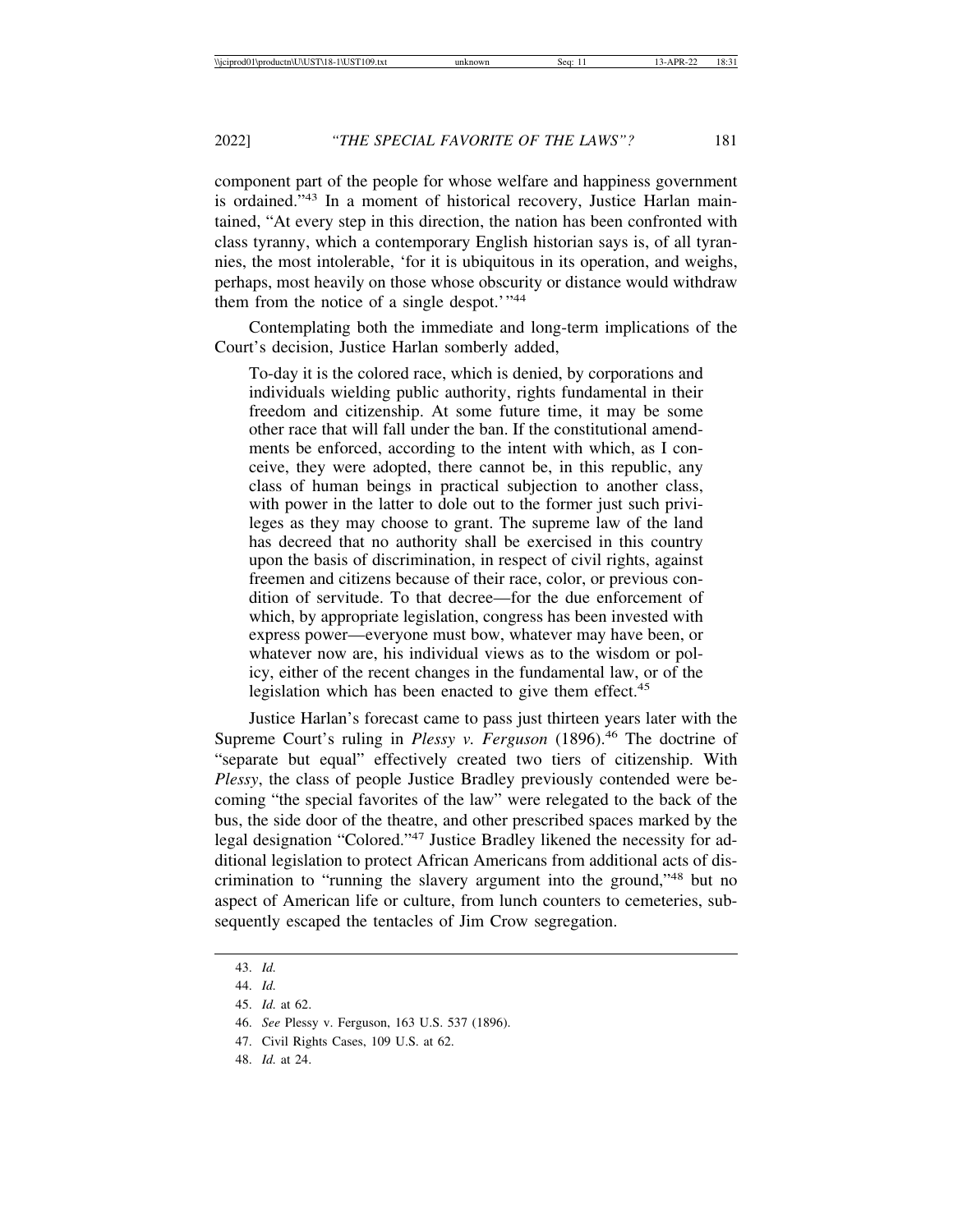component part of the people for whose welfare and happiness government is ordained."43 In a moment of historical recovery, Justice Harlan maintained, "At every step in this direction, the nation has been confronted with class tyranny, which a contemporary English historian says is, of all tyrannies, the most intolerable, 'for it is ubiquitous in its operation, and weighs, perhaps, most heavily on those whose obscurity or distance would withdraw them from the notice of a single despot.'"44

Contemplating both the immediate and long-term implications of the Court's decision, Justice Harlan somberly added,

To-day it is the colored race, which is denied, by corporations and individuals wielding public authority, rights fundamental in their freedom and citizenship. At some future time, it may be some other race that will fall under the ban. If the constitutional amendments be enforced, according to the intent with which, as I conceive, they were adopted, there cannot be, in this republic, any class of human beings in practical subjection to another class, with power in the latter to dole out to the former just such privileges as they may choose to grant. The supreme law of the land has decreed that no authority shall be exercised in this country upon the basis of discrimination, in respect of civil rights, against freemen and citizens because of their race, color, or previous condition of servitude. To that decree—for the due enforcement of which, by appropriate legislation, congress has been invested with express power—everyone must bow, whatever may have been, or whatever now are, his individual views as to the wisdom or policy, either of the recent changes in the fundamental law, or of the legislation which has been enacted to give them effect.<sup>45</sup>

Justice Harlan's forecast came to pass just thirteen years later with the Supreme Court's ruling in *Plessy v. Ferguson* (1896).<sup>46</sup> The doctrine of "separate but equal" effectively created two tiers of citizenship. With *Plessy*, the class of people Justice Bradley previously contended were becoming "the special favorites of the law" were relegated to the back of the bus, the side door of the theatre, and other prescribed spaces marked by the legal designation "Colored."47 Justice Bradley likened the necessity for additional legislation to protect African Americans from additional acts of discrimination to "running the slavery argument into the ground,"48 but no aspect of American life or culture, from lunch counters to cemeteries, subsequently escaped the tentacles of Jim Crow segregation.

48. *Id.* at 24.

<sup>43.</sup> *Id.*

<sup>44.</sup> *Id.*

<sup>45.</sup> *Id.* at 62.

<sup>46.</sup> *See* Plessy v. Ferguson, 163 U.S. 537 (1896).

<sup>47.</sup> Civil Rights Cases, 109 U.S. at 62.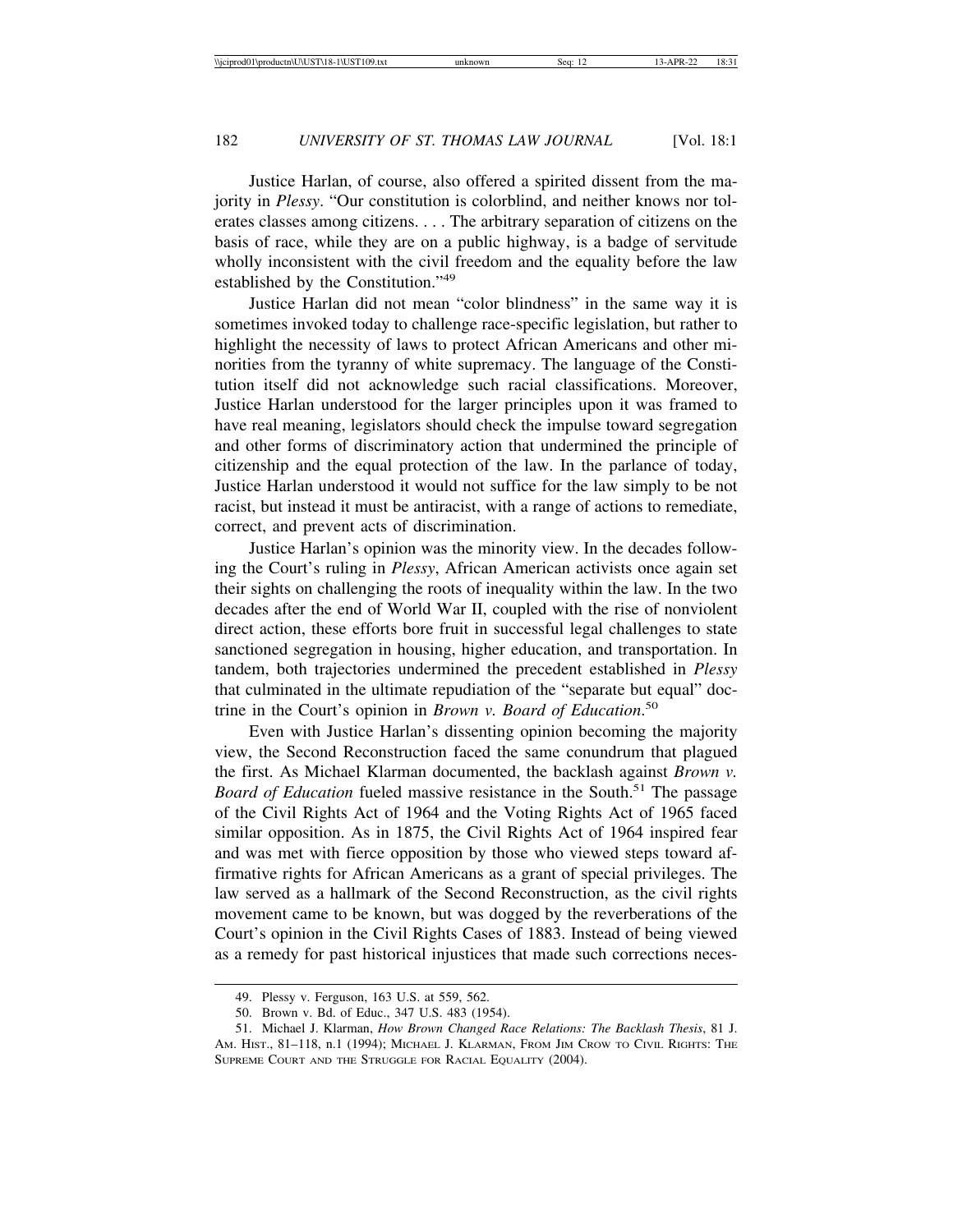Justice Harlan, of course, also offered a spirited dissent from the majority in *Plessy*. "Our constitution is colorblind, and neither knows nor tolerates classes among citizens. . . . The arbitrary separation of citizens on the basis of race, while they are on a public highway, is a badge of servitude wholly inconsistent with the civil freedom and the equality before the law established by the Constitution."<sup>49</sup>

Justice Harlan did not mean "color blindness" in the same way it is sometimes invoked today to challenge race-specific legislation, but rather to highlight the necessity of laws to protect African Americans and other minorities from the tyranny of white supremacy. The language of the Constitution itself did not acknowledge such racial classifications. Moreover, Justice Harlan understood for the larger principles upon it was framed to have real meaning, legislators should check the impulse toward segregation and other forms of discriminatory action that undermined the principle of citizenship and the equal protection of the law. In the parlance of today, Justice Harlan understood it would not suffice for the law simply to be not racist, but instead it must be antiracist, with a range of actions to remediate, correct, and prevent acts of discrimination.

Justice Harlan's opinion was the minority view. In the decades following the Court's ruling in *Plessy*, African American activists once again set their sights on challenging the roots of inequality within the law. In the two decades after the end of World War II, coupled with the rise of nonviolent direct action, these efforts bore fruit in successful legal challenges to state sanctioned segregation in housing, higher education, and transportation. In tandem, both trajectories undermined the precedent established in *Plessy* that culminated in the ultimate repudiation of the "separate but equal" doctrine in the Court's opinion in *Brown v. Board of Education*. 50

Even with Justice Harlan's dissenting opinion becoming the majority view, the Second Reconstruction faced the same conundrum that plagued the first. As Michael Klarman documented, the backlash against *Brown v. Board of Education* fueled massive resistance in the South.<sup>51</sup> The passage of the Civil Rights Act of 1964 and the Voting Rights Act of 1965 faced similar opposition. As in 1875, the Civil Rights Act of 1964 inspired fear and was met with fierce opposition by those who viewed steps toward affirmative rights for African Americans as a grant of special privileges. The law served as a hallmark of the Second Reconstruction, as the civil rights movement came to be known, but was dogged by the reverberations of the Court's opinion in the Civil Rights Cases of 1883. Instead of being viewed as a remedy for past historical injustices that made such corrections neces-

<sup>49.</sup> Plessy v. Ferguson, 163 U.S. at 559, 562.

<sup>50.</sup> Brown v. Bd. of Educ., 347 U.S. 483 (1954).

<sup>51.</sup> Michael J. Klarman, *How Brown Changed Race Relations: The Backlash Thesis*, 81 J. AM. HIST., 81-118, n.1 (1994); MICHAEL J. KLARMAN, FROM JIM CROW TO CIVIL RIGHTS: THE SUPREME COURT AND THE STRUGGLE FOR RACIAL EQUALITY (2004).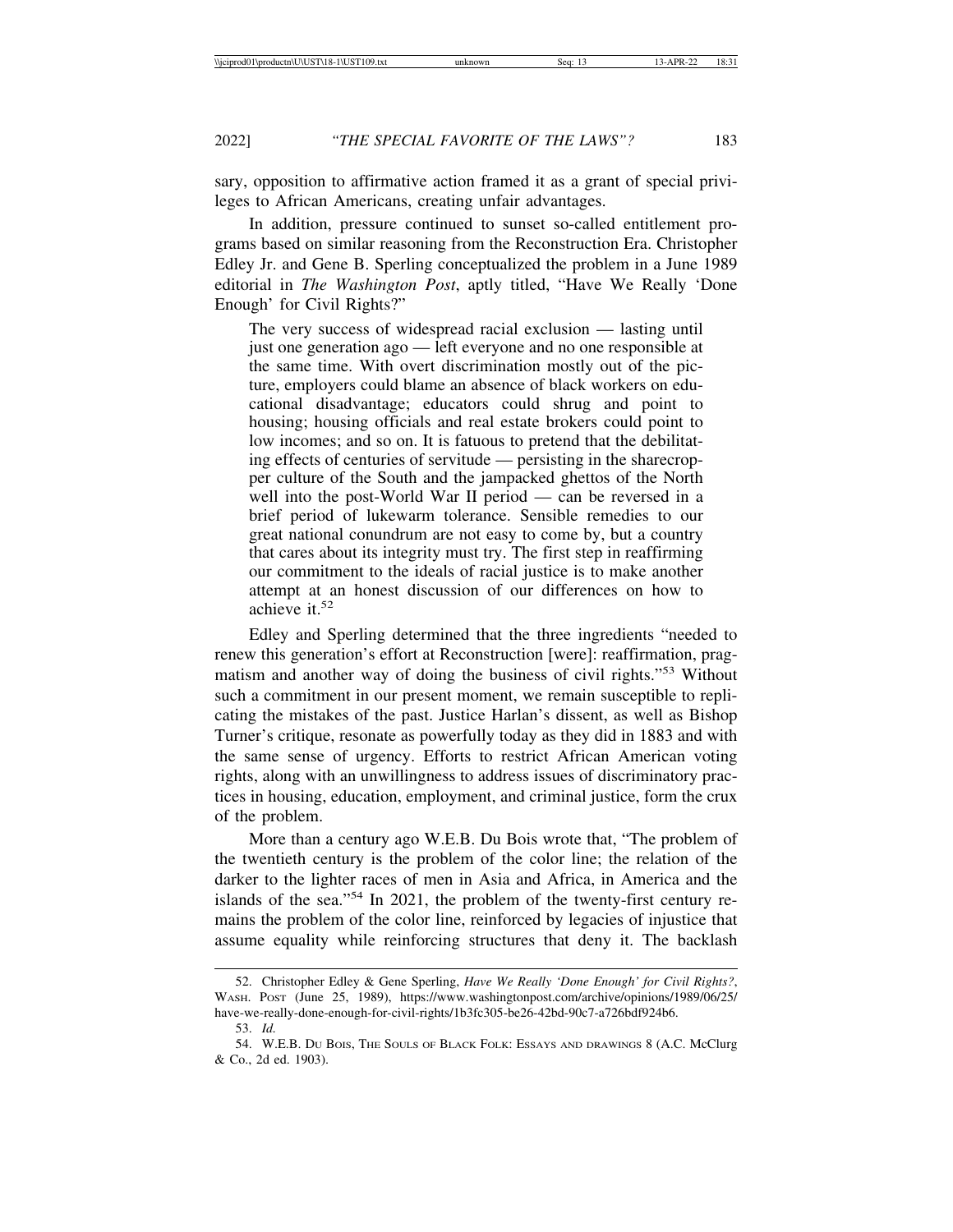sary, opposition to affirmative action framed it as a grant of special privileges to African Americans, creating unfair advantages.

In addition, pressure continued to sunset so-called entitlement programs based on similar reasoning from the Reconstruction Era. Christopher Edley Jr. and Gene B. Sperling conceptualized the problem in a June 1989 editorial in *The Washington Post*, aptly titled, "Have We Really 'Done Enough' for Civil Rights?"

The very success of widespread racial exclusion — lasting until just one generation ago — left everyone and no one responsible at the same time. With overt discrimination mostly out of the picture, employers could blame an absence of black workers on educational disadvantage; educators could shrug and point to housing; housing officials and real estate brokers could point to low incomes; and so on. It is fatuous to pretend that the debilitating effects of centuries of servitude — persisting in the sharecropper culture of the South and the jampacked ghettos of the North well into the post-World War II period — can be reversed in a brief period of lukewarm tolerance. Sensible remedies to our great national conundrum are not easy to come by, but a country that cares about its integrity must try. The first step in reaffirming our commitment to the ideals of racial justice is to make another attempt at an honest discussion of our differences on how to achieve it.<sup>52</sup>

Edley and Sperling determined that the three ingredients "needed to renew this generation's effort at Reconstruction [were]: reaffirmation, pragmatism and another way of doing the business of civil rights."53 Without such a commitment in our present moment, we remain susceptible to replicating the mistakes of the past. Justice Harlan's dissent, as well as Bishop Turner's critique, resonate as powerfully today as they did in 1883 and with the same sense of urgency. Efforts to restrict African American voting rights, along with an unwillingness to address issues of discriminatory practices in housing, education, employment, and criminal justice, form the crux of the problem.

More than a century ago W.E.B. Du Bois wrote that, "The problem of the twentieth century is the problem of the color line; the relation of the darker to the lighter races of men in Asia and Africa, in America and the islands of the sea."54 In 2021, the problem of the twenty-first century remains the problem of the color line, reinforced by legacies of injustice that assume equality while reinforcing structures that deny it. The backlash

<sup>52.</sup> Christopher Edley & Gene Sperling, *Have We Really 'Done Enough' for Civil Rights?*, WASH. POST (June 25, 1989), https://www.washingtonpost.com/archive/opinions/1989/06/25/ have-we-really-done-enough-for-civil-rights/1b3fc305-be26-42bd-90c7-a726bdf924b6.

<sup>53.</sup> *Id.*

<sup>54.</sup> W.E.B. DU BOIS, THE SOULS OF BLACK FOLK: ESSAYS AND DRAWINGS 8 (A.C. McClurg & Co., 2d ed. 1903).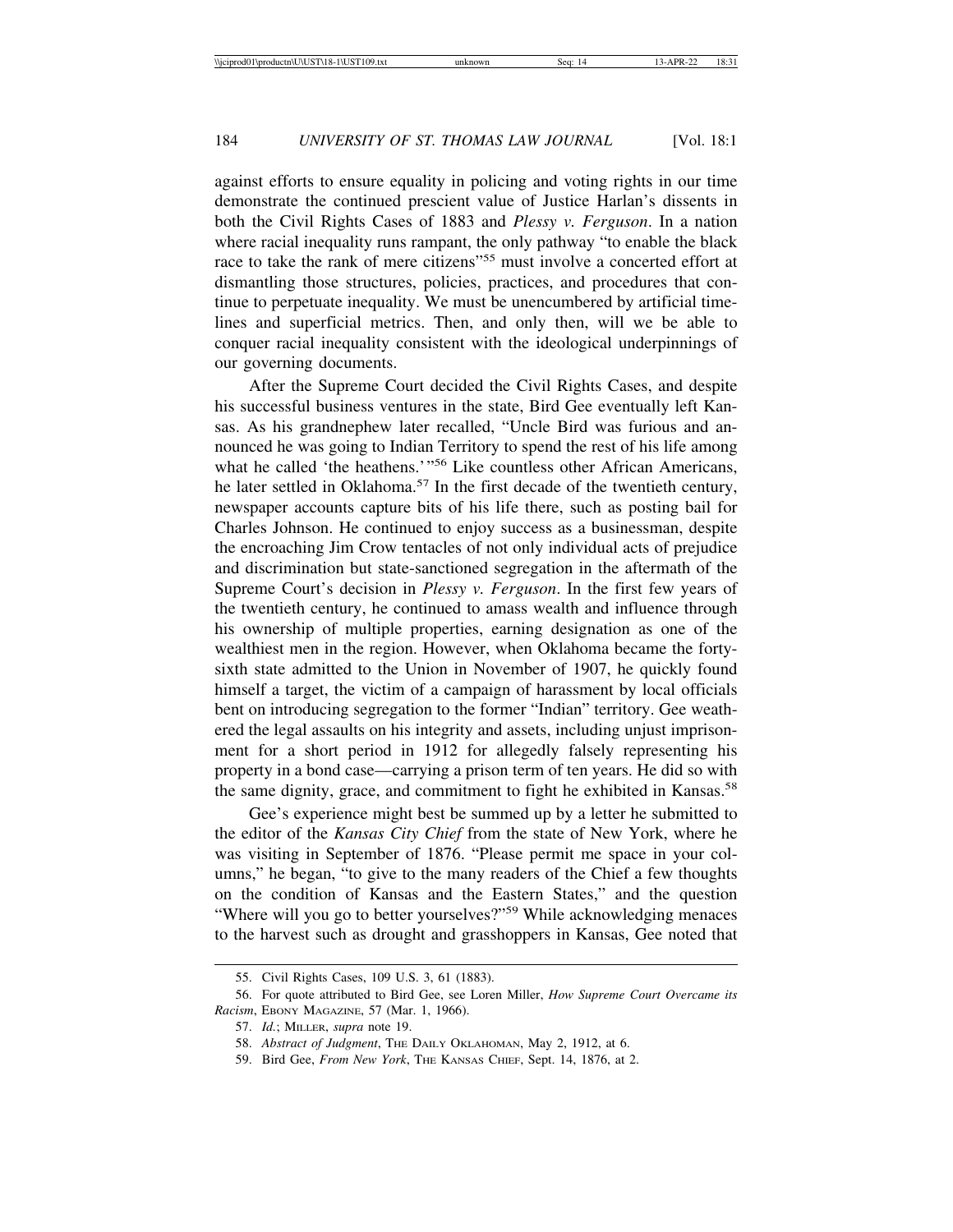against efforts to ensure equality in policing and voting rights in our time demonstrate the continued prescient value of Justice Harlan's dissents in both the Civil Rights Cases of 1883 and *Plessy v. Ferguson*. In a nation where racial inequality runs rampant, the only pathway "to enable the black race to take the rank of mere citizens"55 must involve a concerted effort at dismantling those structures, policies, practices, and procedures that continue to perpetuate inequality. We must be unencumbered by artificial timelines and superficial metrics. Then, and only then, will we be able to conquer racial inequality consistent with the ideological underpinnings of our governing documents.

After the Supreme Court decided the Civil Rights Cases, and despite his successful business ventures in the state, Bird Gee eventually left Kansas. As his grandnephew later recalled, "Uncle Bird was furious and announced he was going to Indian Territory to spend the rest of his life among what he called 'the heathens.'"<sup>56</sup> Like countless other African Americans, he later settled in Oklahoma.<sup>57</sup> In the first decade of the twentieth century, newspaper accounts capture bits of his life there, such as posting bail for Charles Johnson. He continued to enjoy success as a businessman, despite the encroaching Jim Crow tentacles of not only individual acts of prejudice and discrimination but state-sanctioned segregation in the aftermath of the Supreme Court's decision in *Plessy v. Ferguson*. In the first few years of the twentieth century, he continued to amass wealth and influence through his ownership of multiple properties, earning designation as one of the wealthiest men in the region. However, when Oklahoma became the fortysixth state admitted to the Union in November of 1907, he quickly found himself a target, the victim of a campaign of harassment by local officials bent on introducing segregation to the former "Indian" territory. Gee weathered the legal assaults on his integrity and assets, including unjust imprisonment for a short period in 1912 for allegedly falsely representing his property in a bond case—carrying a prison term of ten years. He did so with the same dignity, grace, and commitment to fight he exhibited in Kansas.<sup>58</sup>

Gee's experience might best be summed up by a letter he submitted to the editor of the *Kansas City Chief* from the state of New York, where he was visiting in September of 1876. "Please permit me space in your columns," he began, "to give to the many readers of the Chief a few thoughts on the condition of Kansas and the Eastern States," and the question "Where will you go to better yourselves?"<sup>59</sup> While acknowledging menaces to the harvest such as drought and grasshoppers in Kansas, Gee noted that

<sup>55.</sup> Civil Rights Cases, 109 U.S. 3, 61 (1883).

<sup>56.</sup> For quote attributed to Bird Gee, see Loren Miller, *How Supreme Court Overcame its Racism*, EBONY MAGAZINE, 57 (Mar. 1, 1966).

<sup>57.</sup> *Id.*; MILLER, *supra* note 19.

<sup>58.</sup> *Abstract of Judgment*, THE DAILY OKLAHOMAN, May 2, 1912, at 6.

<sup>59.</sup> Bird Gee, *From New York*, THE KANSAS CHIEF, Sept. 14, 1876, at 2.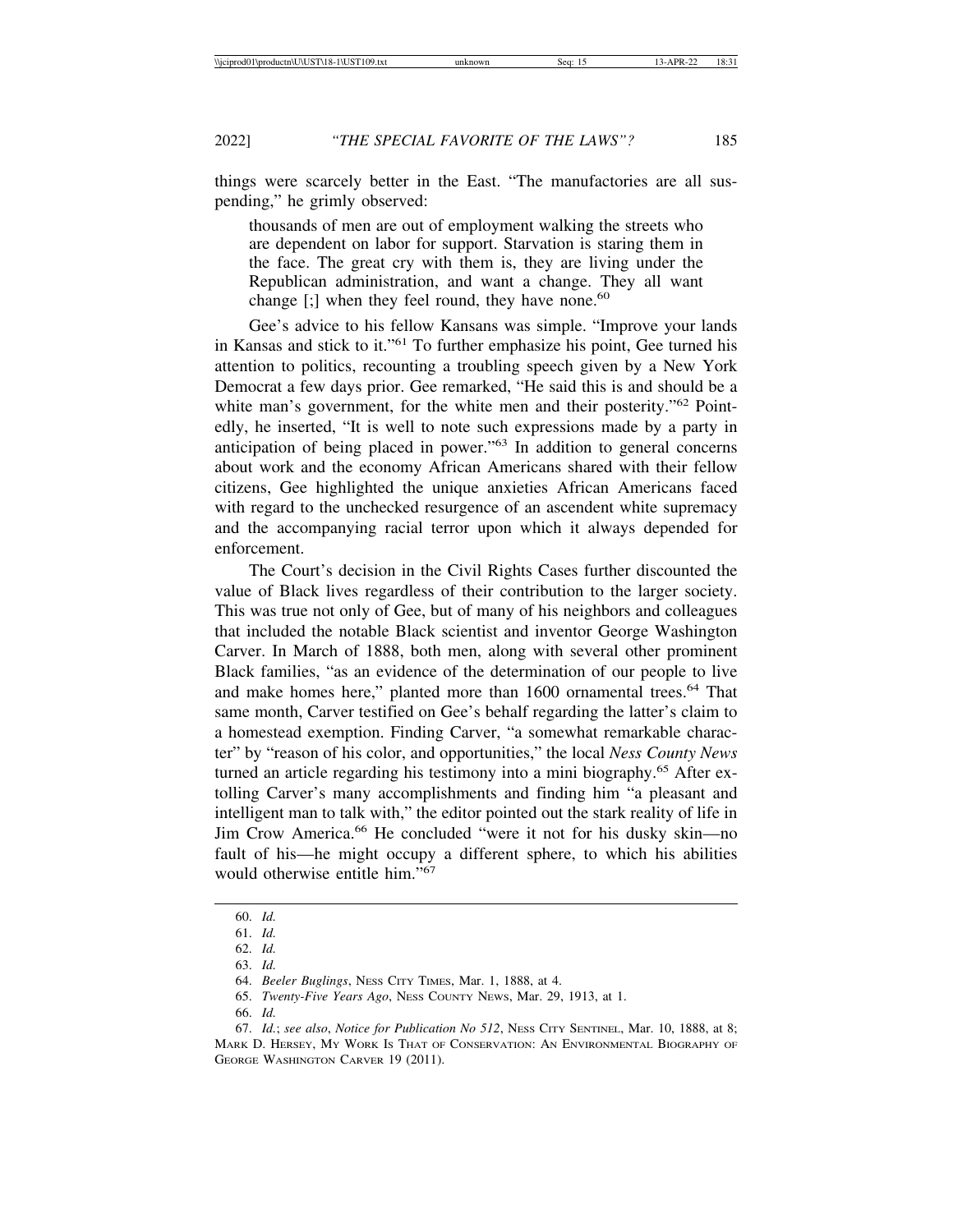things were scarcely better in the East. "The manufactories are all suspending," he grimly observed:

thousands of men are out of employment walking the streets who are dependent on labor for support. Starvation is staring them in the face. The great cry with them is, they are living under the Republican administration, and want a change. They all want change  $[\cdot]$  when they feel round, they have none.<sup>60</sup>

Gee's advice to his fellow Kansans was simple. "Improve your lands in Kansas and stick to it."61 To further emphasize his point, Gee turned his attention to politics, recounting a troubling speech given by a New York Democrat a few days prior. Gee remarked, "He said this is and should be a white man's government, for the white men and their posterity."<sup>62</sup> Pointedly, he inserted, "It is well to note such expressions made by a party in anticipation of being placed in power."63 In addition to general concerns about work and the economy African Americans shared with their fellow citizens, Gee highlighted the unique anxieties African Americans faced with regard to the unchecked resurgence of an ascendent white supremacy and the accompanying racial terror upon which it always depended for enforcement.

The Court's decision in the Civil Rights Cases further discounted the value of Black lives regardless of their contribution to the larger society. This was true not only of Gee, but of many of his neighbors and colleagues that included the notable Black scientist and inventor George Washington Carver. In March of 1888, both men, along with several other prominent Black families, "as an evidence of the determination of our people to live and make homes here," planted more than 1600 ornamental trees.<sup>64</sup> That same month, Carver testified on Gee's behalf regarding the latter's claim to a homestead exemption. Finding Carver, "a somewhat remarkable character" by "reason of his color, and opportunities," the local *Ness County News* turned an article regarding his testimony into a mini biography.65 After extolling Carver's many accomplishments and finding him "a pleasant and intelligent man to talk with," the editor pointed out the stark reality of life in Jim Crow America.66 He concluded "were it not for his dusky skin—no fault of his—he might occupy a different sphere, to which his abilities would otherwise entitle him."<sup>67</sup>

66. *Id.*

<sup>60.</sup> *Id.*

<sup>61.</sup> *Id.*

<sup>62.</sup> *Id.* 63. *Id.*

<sup>64.</sup> *Beeler Buglings*, NESS CITY TIMES, Mar. 1, 1888, at 4.

<sup>65.</sup> *Twenty-Five Years Ago*, NESS COUNTY NEWS, Mar. 29, 1913, at 1.

<sup>67.</sup> *Id.*; *see also*, *Notice for Publication No 512*, NESS CITY SENTINEL, Mar. 10, 1888, at 8; MARK D. HERSEY, MY WORK IS THAT OF CONSERVATION: AN ENVIRONMENTAL BIOGRAPHY OF GEORGE WASHINGTON CARVER 19 (2011).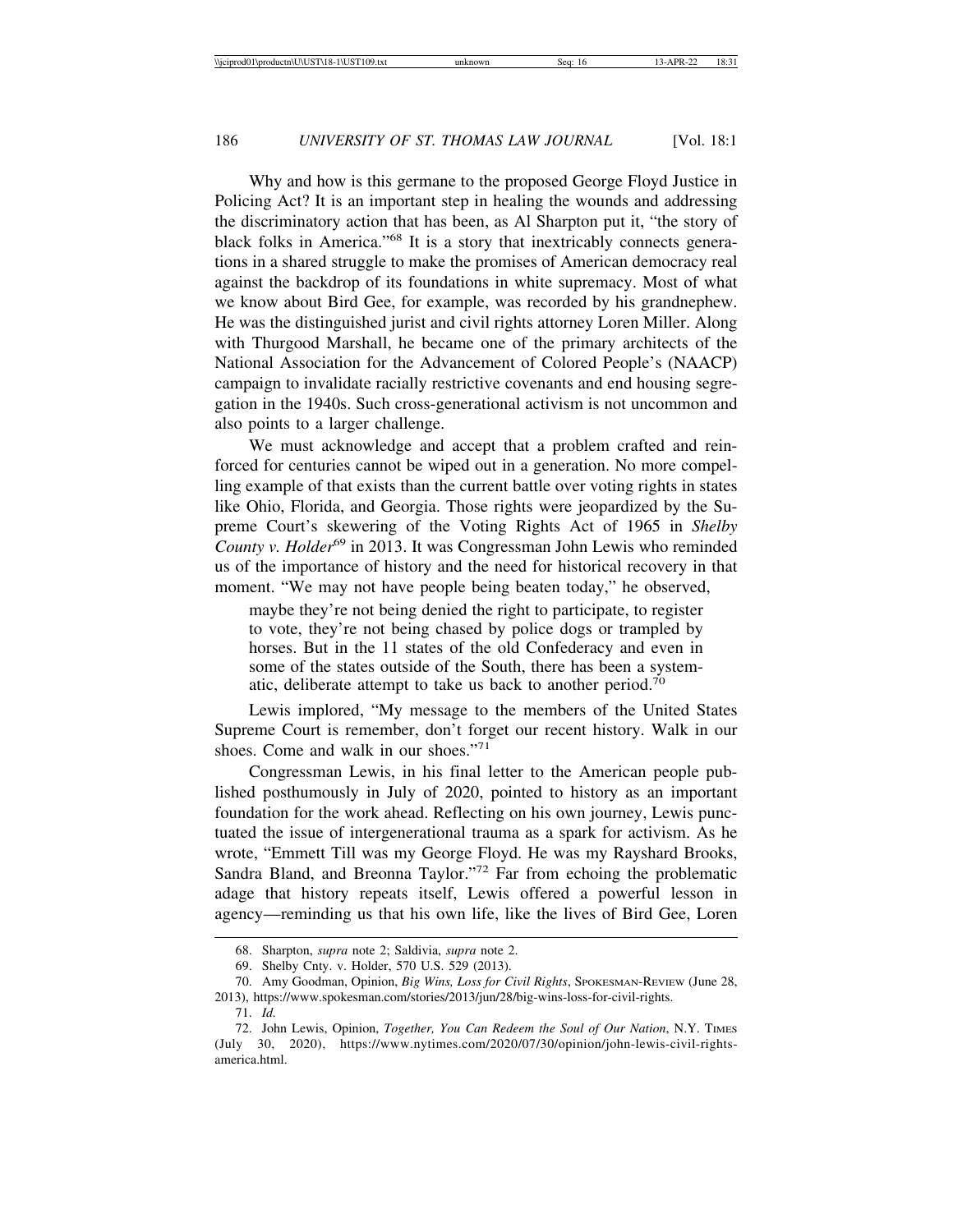Why and how is this germane to the proposed George Floyd Justice in Policing Act? It is an important step in healing the wounds and addressing the discriminatory action that has been, as Al Sharpton put it, "the story of black folks in America."68 It is a story that inextricably connects generations in a shared struggle to make the promises of American democracy real against the backdrop of its foundations in white supremacy. Most of what we know about Bird Gee, for example, was recorded by his grandnephew. He was the distinguished jurist and civil rights attorney Loren Miller. Along with Thurgood Marshall, he became one of the primary architects of the National Association for the Advancement of Colored People's (NAACP) campaign to invalidate racially restrictive covenants and end housing segregation in the 1940s. Such cross-generational activism is not uncommon and also points to a larger challenge.

We must acknowledge and accept that a problem crafted and reinforced for centuries cannot be wiped out in a generation. No more compelling example of that exists than the current battle over voting rights in states like Ohio, Florida, and Georgia. Those rights were jeopardized by the Supreme Court's skewering of the Voting Rights Act of 1965 in *Shelby County v. Holder*<sup>69</sup> in 2013. It was Congressman John Lewis who reminded us of the importance of history and the need for historical recovery in that moment. "We may not have people being beaten today," he observed,

maybe they're not being denied the right to participate, to register to vote, they're not being chased by police dogs or trampled by horses. But in the 11 states of the old Confederacy and even in some of the states outside of the South, there has been a systematic, deliberate attempt to take us back to another period.<sup>70</sup>

Lewis implored, "My message to the members of the United States Supreme Court is remember, don't forget our recent history. Walk in our shoes. Come and walk in our shoes."<sup>71</sup>

Congressman Lewis, in his final letter to the American people published posthumously in July of 2020, pointed to history as an important foundation for the work ahead. Reflecting on his own journey, Lewis punctuated the issue of intergenerational trauma as a spark for activism. As he wrote, "Emmett Till was my George Floyd. He was my Rayshard Brooks, Sandra Bland, and Breonna Taylor."72 Far from echoing the problematic adage that history repeats itself, Lewis offered a powerful lesson in agency—reminding us that his own life, like the lives of Bird Gee, Loren

<sup>68.</sup> Sharpton, *supra* note 2; Saldivia, *supra* note 2.

<sup>69.</sup> Shelby Cnty. v. Holder, 570 U.S. 529 (2013).

<sup>70.</sup> Amy Goodman, Opinion, *Big Wins, Loss for Civil Rights*, SPOKESMAN-REVIEW (June 28, 2013), https://www.spokesman.com/stories/2013/jun/28/big-wins-loss-for-civil-rights.

<sup>71.</sup> *Id.*

<sup>72.</sup> John Lewis, Opinion, *Together, You Can Redeem the Soul of Our Nation*, N.Y. TIMES (July 30, 2020), https://www.nytimes.com/2020/07/30/opinion/john-lewis-civil-rightsamerica.html.